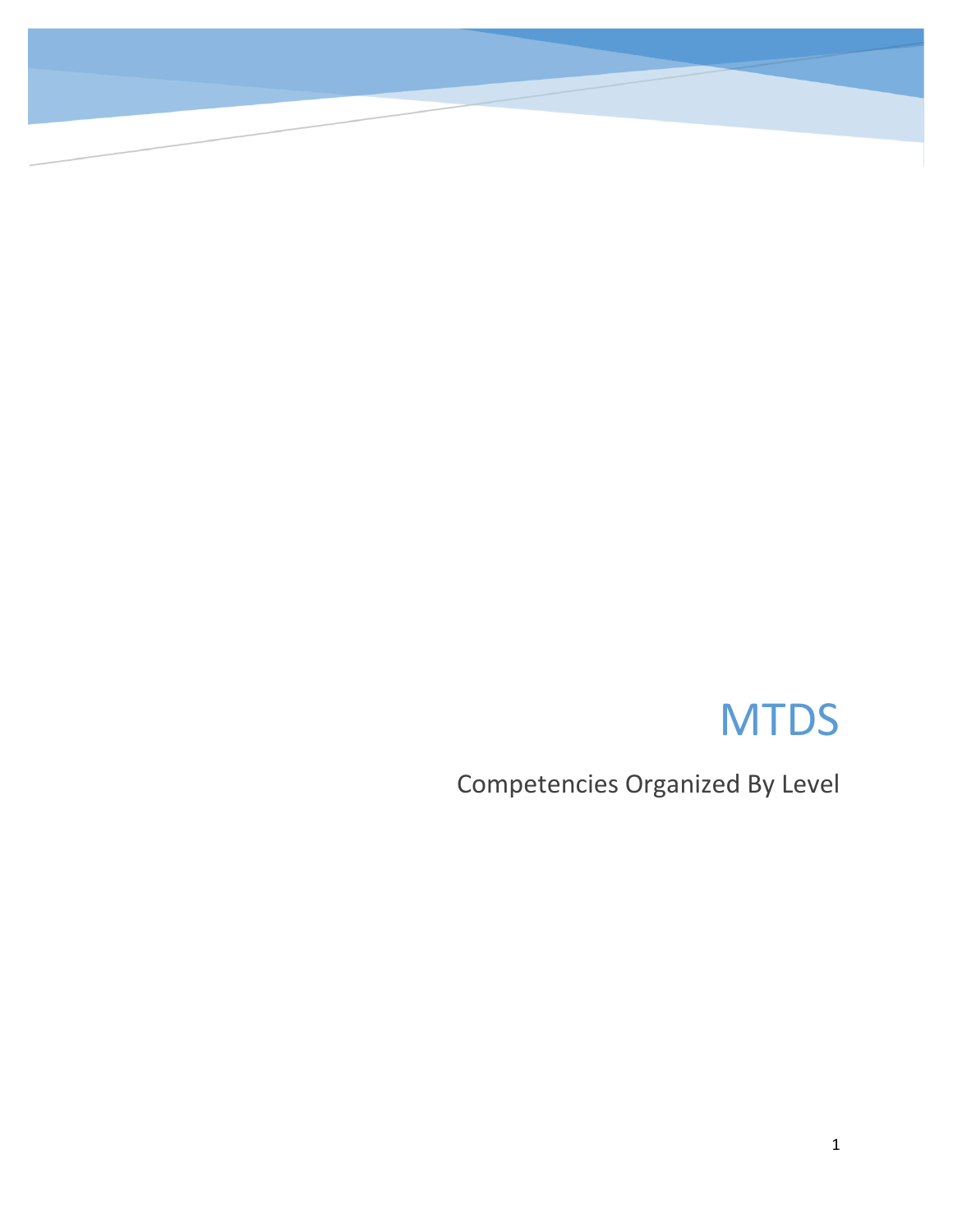# **MTDS**

Competencies Organized By Level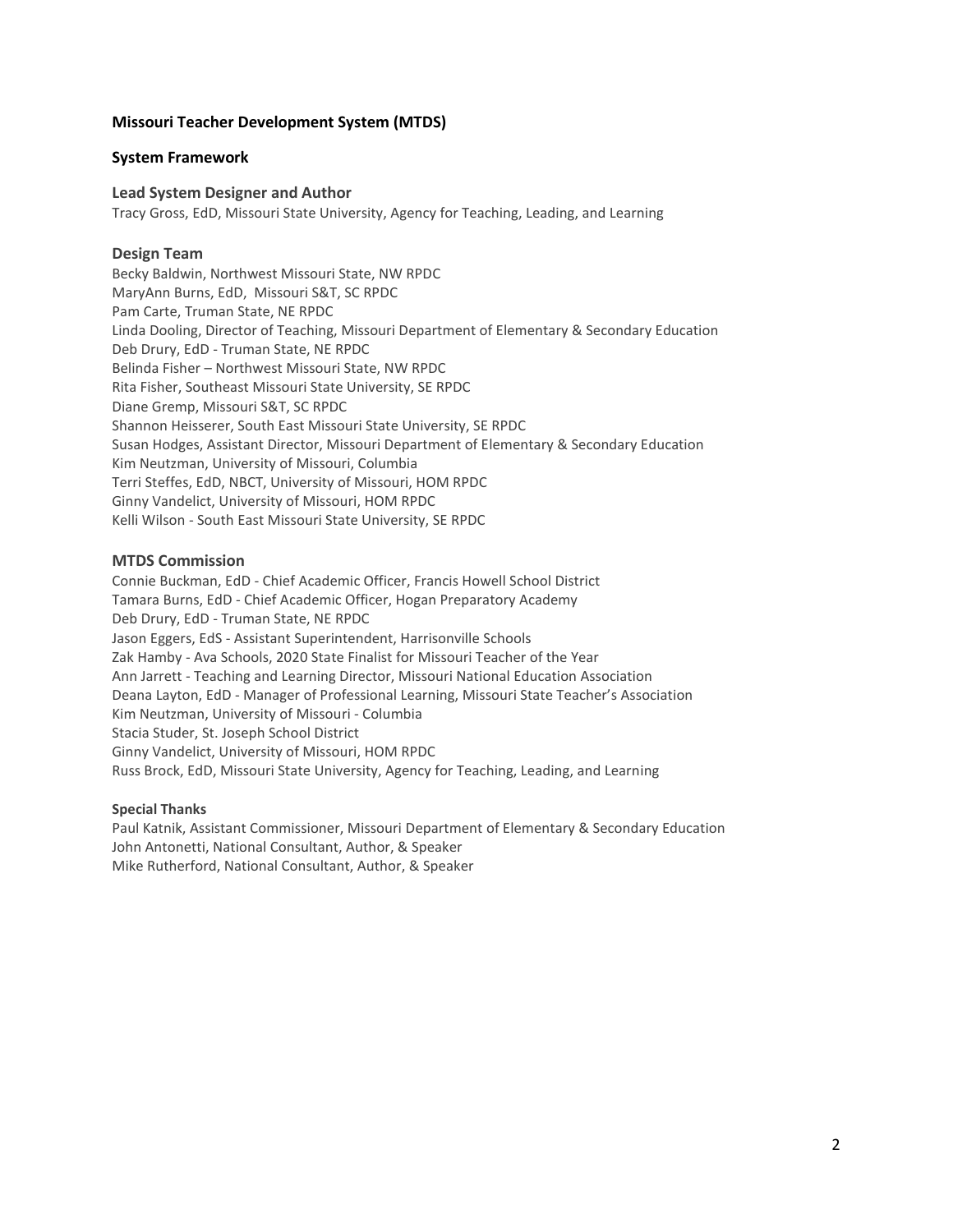#### **Missouri Teacher Development System (MTDS)**

#### **System Framework**

#### **Lead System Designer and Author**

Tracy Gross, EdD, Missouri State University, Agency for Teaching, Leading, and Learning

#### **Design Team**

Becky Baldwin, Northwest Missouri State, NW RPDC MaryAnn Burns, EdD, Missouri S&T, SC RPDC Pam Carte, Truman State, NE RPDC Linda Dooling, Director of Teaching, Missouri Department of Elementary & Secondary Education Deb Drury, EdD - Truman State, NE RPDC Belinda Fisher – Northwest Missouri State, NW RPDC Rita Fisher, Southeast Missouri State University, SE RPDC Diane Gremp, Missouri S&T, SC RPDC Shannon Heisserer, South East Missouri State University, SE RPDC Susan Hodges, Assistant Director, Missouri Department of Elementary & Secondary Education Kim Neutzman, University of Missouri, Columbia Terri Steffes, EdD, NBCT, University of Missouri, HOM RPDC Ginny Vandelict, University of Missouri, HOM RPDC Kelli Wilson - South East Missouri State University, SE RPDC

#### **MTDS Commission**

Connie Buckman, EdD - Chief Academic Officer, Francis Howell School District Tamara Burns, EdD - Chief Academic Officer, Hogan Preparatory Academy Deb Drury, EdD - Truman State, NE RPDC Jason Eggers, EdS - Assistant Superintendent, Harrisonville Schools Zak Hamby - Ava Schools, 2020 State Finalist for Missouri Teacher of the Year Ann Jarrett - Teaching and Learning Director, Missouri National Education Association Deana Layton, EdD - Manager of Professional Learning, Missouri State Teacher's Association Kim Neutzman, University of Missouri - Columbia Stacia Studer, St. Joseph School District Ginny Vandelict, University of Missouri, HOM RPDC Russ Brock, EdD, Missouri State University, Agency for Teaching, Leading, and Learning

#### **Special Thanks**

Paul Katnik, Assistant Commissioner, Missouri Department of Elementary & Secondary Education John Antonetti, National Consultant, Author, & Speaker Mike Rutherford, National Consultant, Author, & Speaker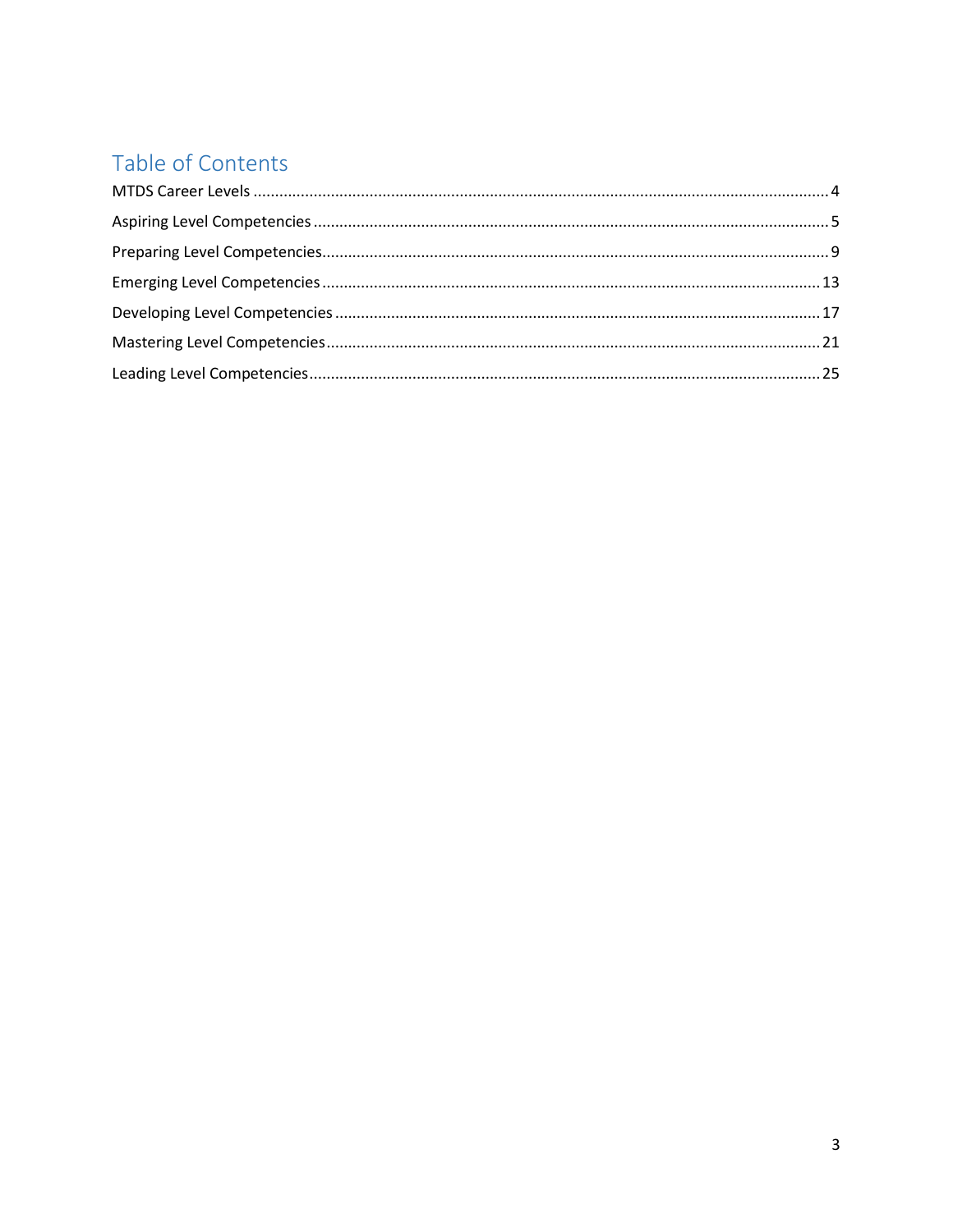## Table of Contents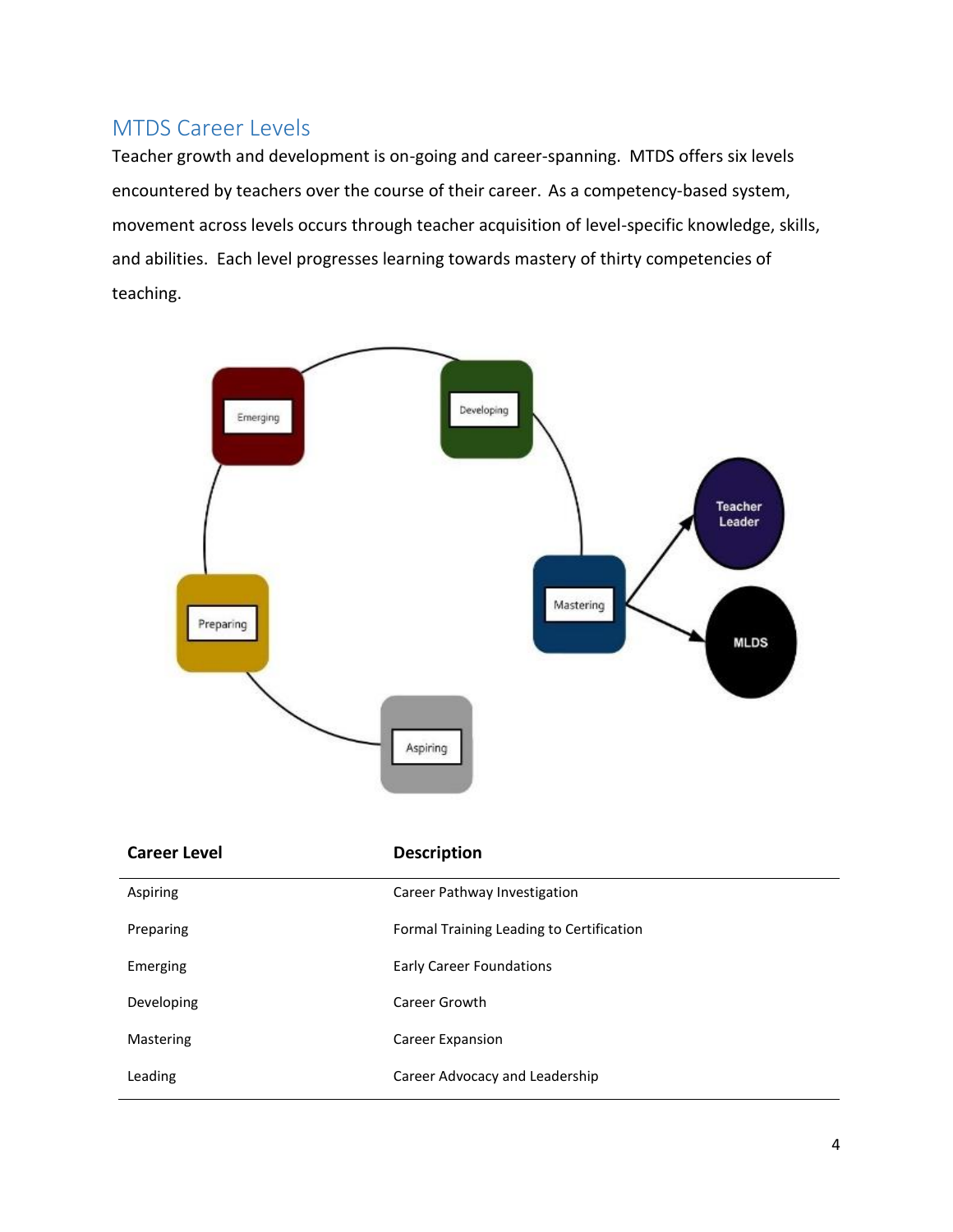### <span id="page-3-0"></span>MTDS Career Levels

Teacher growth and development is on-going and career-spanning. MTDS offers six levels encountered by teachers over the course of their career. As a competency-based system, movement across levels occurs through teacher acquisition of level-specific knowledge, skills, and abilities. Each level progresses learning towards mastery of thirty competencies of teaching.



| <b>Career Level</b> | <b>Description</b>                       |
|---------------------|------------------------------------------|
| Aspiring            | Career Pathway Investigation             |
| Preparing           | Formal Training Leading to Certification |
| Emerging            | <b>Early Career Foundations</b>          |
| Developing          | Career Growth                            |
| Mastering           | Career Expansion                         |
| Leading             | Career Advocacy and Leadership           |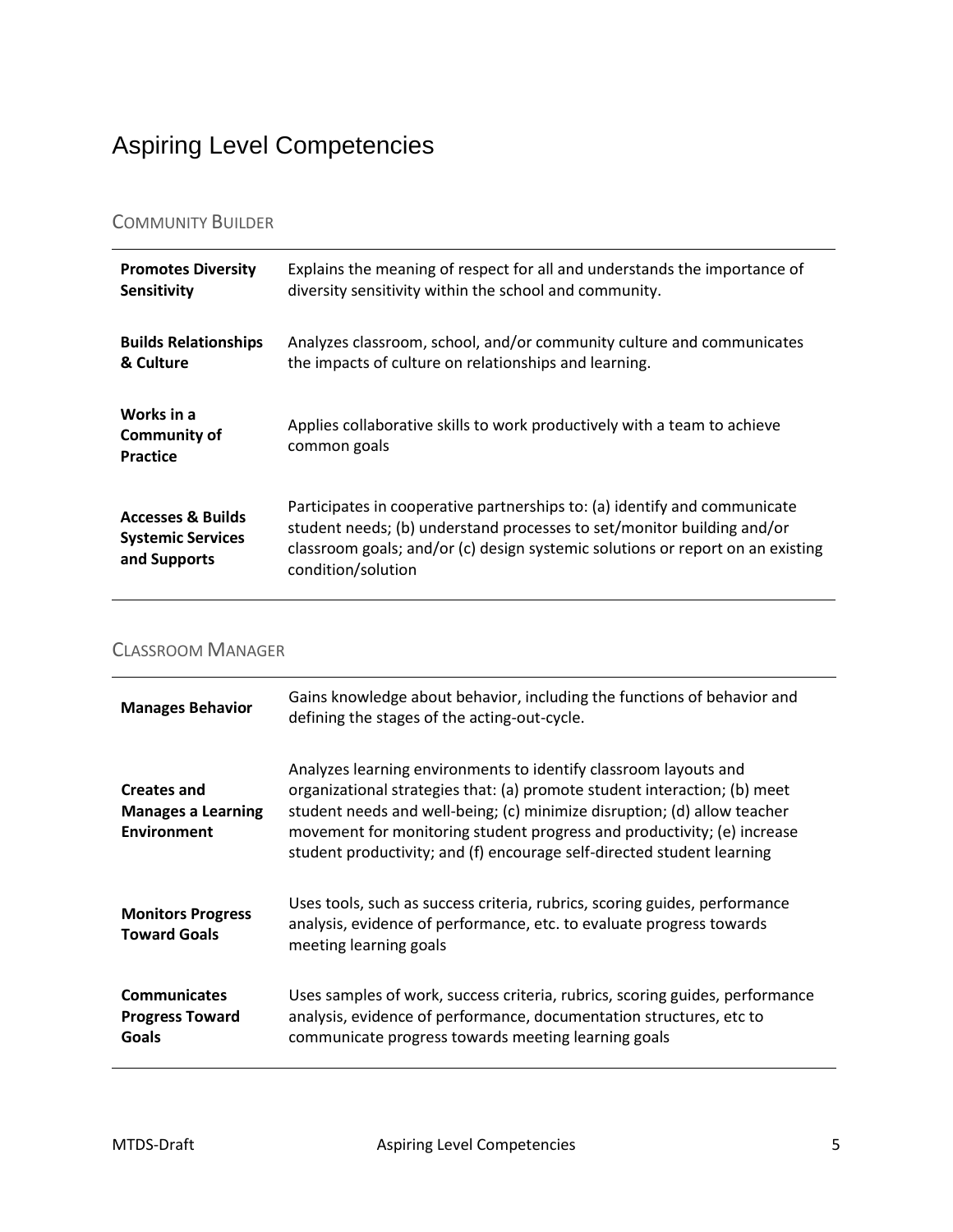## <span id="page-4-0"></span>Aspiring Level Competencies

#### COMMUNITY BUILDER

| <b>Promotes Diversity</b>                                                | Explains the meaning of respect for all and understands the importance of                                                                                                                                                                                   |
|--------------------------------------------------------------------------|-------------------------------------------------------------------------------------------------------------------------------------------------------------------------------------------------------------------------------------------------------------|
| Sensitivity                                                              | diversity sensitivity within the school and community.                                                                                                                                                                                                      |
| <b>Builds Relationships</b>                                              | Analyzes classroom, school, and/or community culture and communicates                                                                                                                                                                                       |
| & Culture                                                                | the impacts of culture on relationships and learning.                                                                                                                                                                                                       |
| Works in a<br><b>Community of</b><br><b>Practice</b>                     | Applies collaborative skills to work productively with a team to achieve<br>common goals                                                                                                                                                                    |
| <b>Accesses &amp; Builds</b><br><b>Systemic Services</b><br>and Supports | Participates in cooperative partnerships to: (a) identify and communicate<br>student needs; (b) understand processes to set/monitor building and/or<br>classroom goals; and/or (c) design systemic solutions or report on an existing<br>condition/solution |

### CLASSROOM MANAGER

| <b>Manages Behavior</b>                                               | Gains knowledge about behavior, including the functions of behavior and<br>defining the stages of the acting-out-cycle.                                                                                                                                                                                                                                                        |
|-----------------------------------------------------------------------|--------------------------------------------------------------------------------------------------------------------------------------------------------------------------------------------------------------------------------------------------------------------------------------------------------------------------------------------------------------------------------|
| <b>Creates and</b><br><b>Manages a Learning</b><br><b>Environment</b> | Analyzes learning environments to identify classroom layouts and<br>organizational strategies that: (a) promote student interaction; (b) meet<br>student needs and well-being; (c) minimize disruption; (d) allow teacher<br>movement for monitoring student progress and productivity; (e) increase<br>student productivity; and (f) encourage self-directed student learning |
| <b>Monitors Progress</b><br><b>Toward Goals</b>                       | Uses tools, such as success criteria, rubrics, scoring guides, performance<br>analysis, evidence of performance, etc. to evaluate progress towards<br>meeting learning goals                                                                                                                                                                                                   |
| <b>Communicates</b><br><b>Progress Toward</b><br>Goals                | Uses samples of work, success criteria, rubrics, scoring guides, performance<br>analysis, evidence of performance, documentation structures, etc to<br>communicate progress towards meeting learning goals                                                                                                                                                                     |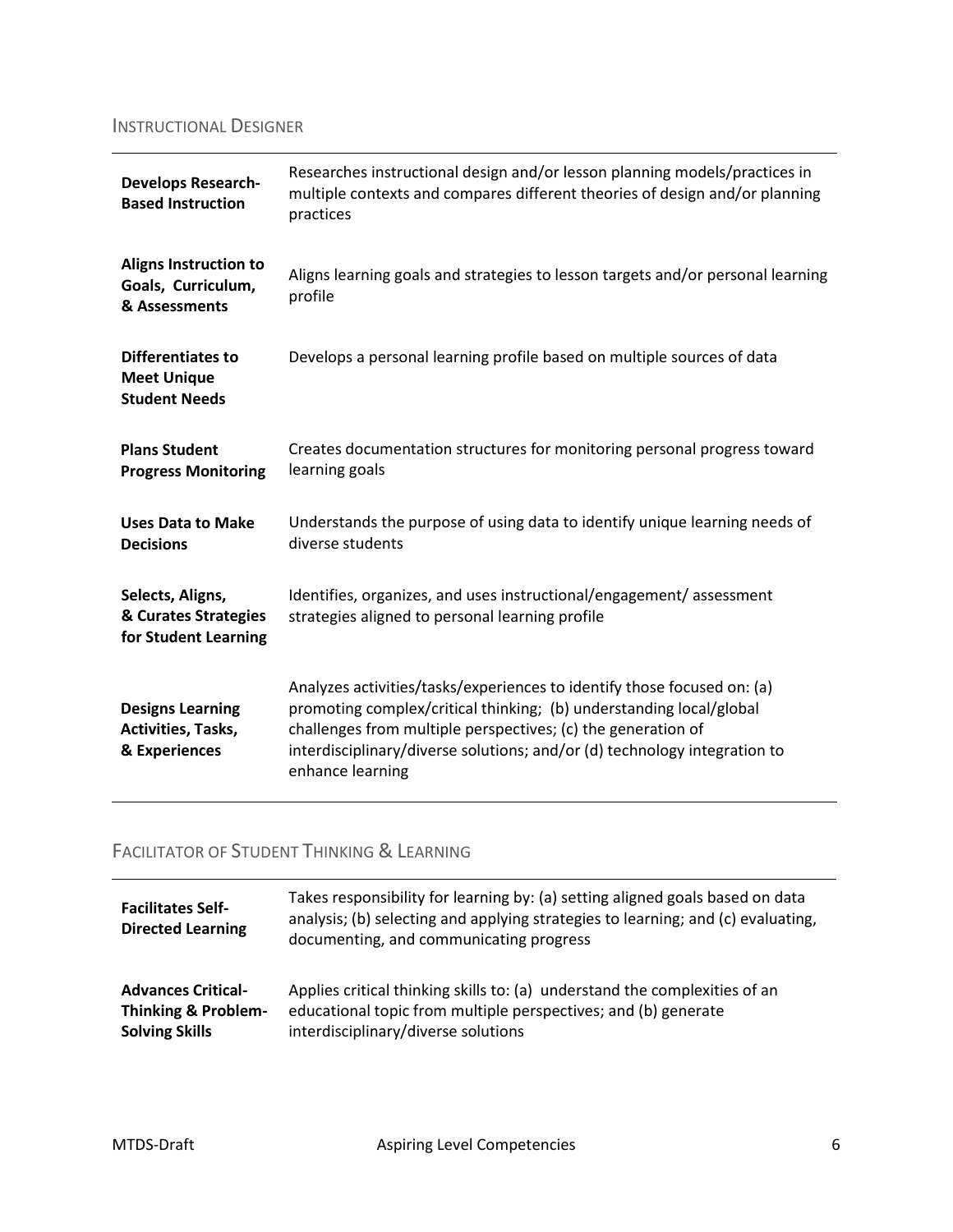### INSTRUCTIONAL DESIGNER

| <b>Develops Research-</b><br><b>Based Instruction</b>                  | Researches instructional design and/or lesson planning models/practices in<br>multiple contexts and compares different theories of design and/or planning<br>practices                                                                                                                                          |
|------------------------------------------------------------------------|-----------------------------------------------------------------------------------------------------------------------------------------------------------------------------------------------------------------------------------------------------------------------------------------------------------------|
| <b>Aligns Instruction to</b><br>Goals, Curriculum,<br>& Assessments    | Aligns learning goals and strategies to lesson targets and/or personal learning<br>profile                                                                                                                                                                                                                      |
| <b>Differentiates to</b><br><b>Meet Unique</b><br><b>Student Needs</b> | Develops a personal learning profile based on multiple sources of data                                                                                                                                                                                                                                          |
| <b>Plans Student</b><br><b>Progress Monitoring</b>                     | Creates documentation structures for monitoring personal progress toward<br>learning goals                                                                                                                                                                                                                      |
| <b>Uses Data to Make</b><br><b>Decisions</b>                           | Understands the purpose of using data to identify unique learning needs of<br>diverse students                                                                                                                                                                                                                  |
| Selects, Aligns,<br>& Curates Strategies<br>for Student Learning       | Identifies, organizes, and uses instructional/engagement/assessment<br>strategies aligned to personal learning profile                                                                                                                                                                                          |
| <b>Designs Learning</b><br>Activities, Tasks,<br>& Experiences         | Analyzes activities/tasks/experiences to identify those focused on: (a)<br>promoting complex/critical thinking; (b) understanding local/global<br>challenges from multiple perspectives; (c) the generation of<br>interdisciplinary/diverse solutions; and/or (d) technology integration to<br>enhance learning |

### FACILITATOR OF STUDENT THINKING & LEARNING

| <b>Facilitates Self-</b><br><b>Directed Learning</b> | Takes responsibility for learning by: (a) setting aligned goals based on data<br>analysis; (b) selecting and applying strategies to learning; and (c) evaluating,<br>documenting, and communicating progress |
|------------------------------------------------------|--------------------------------------------------------------------------------------------------------------------------------------------------------------------------------------------------------------|
| <b>Advances Critical-</b>                            | Applies critical thinking skills to: (a) understand the complexities of an                                                                                                                                   |
| <b>Thinking &amp; Problem-</b>                       | educational topic from multiple perspectives; and (b) generate                                                                                                                                               |
| <b>Solving Skills</b>                                | interdisciplinary/diverse solutions                                                                                                                                                                          |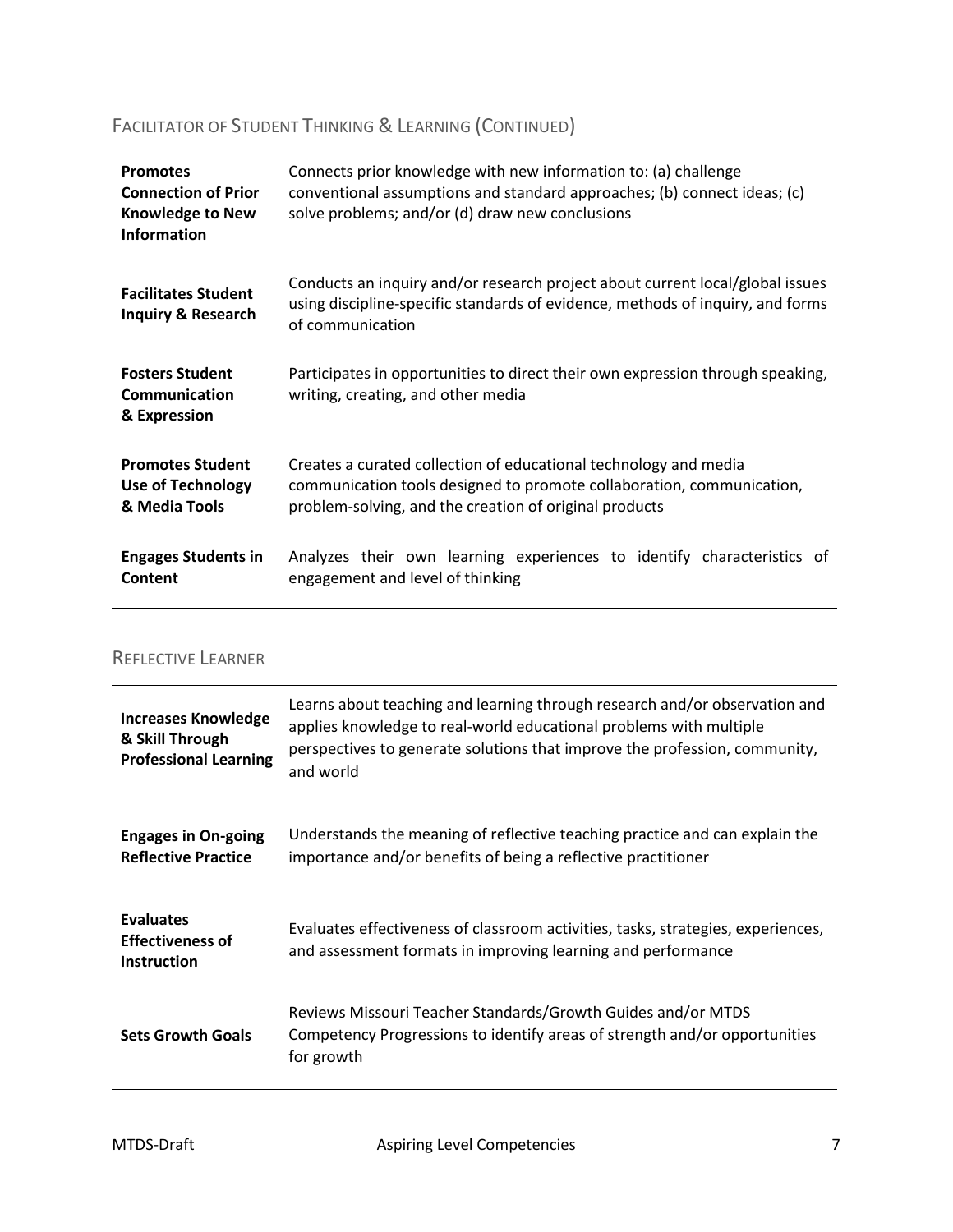### FACILITATOR OF STUDENT THINKING & LEARNING (CONTINUED)

| <b>Promotes</b><br><b>Connection of Prior</b><br><b>Knowledge to New</b><br><b>Information</b> | Connects prior knowledge with new information to: (a) challenge<br>conventional assumptions and standard approaches; (b) connect ideas; (c)<br>solve problems; and/or (d) draw new conclusions      |
|------------------------------------------------------------------------------------------------|-----------------------------------------------------------------------------------------------------------------------------------------------------------------------------------------------------|
| <b>Facilitates Student</b><br><b>Inquiry &amp; Research</b>                                    | Conducts an inquiry and/or research project about current local/global issues<br>using discipline-specific standards of evidence, methods of inquiry, and forms<br>of communication                 |
| <b>Fosters Student</b><br>Communication<br>& Expression                                        | Participates in opportunities to direct their own expression through speaking,<br>writing, creating, and other media                                                                                |
| <b>Promotes Student</b><br><b>Use of Technology</b><br>& Media Tools                           | Creates a curated collection of educational technology and media<br>communication tools designed to promote collaboration, communication,<br>problem-solving, and the creation of original products |
| <b>Engages Students in</b><br>Content                                                          | Analyzes their own learning experiences to identify characteristics of<br>engagement and level of thinking                                                                                          |

#### REFLECTIVE LEARNER

| <b>Increases Knowledge</b><br>& Skill Through<br><b>Professional Learning</b> | Learns about teaching and learning through research and/or observation and<br>applies knowledge to real-world educational problems with multiple<br>perspectives to generate solutions that improve the profession, community,<br>and world |
|-------------------------------------------------------------------------------|---------------------------------------------------------------------------------------------------------------------------------------------------------------------------------------------------------------------------------------------|
| <b>Engages in On-going</b><br><b>Reflective Practice</b>                      | Understands the meaning of reflective teaching practice and can explain the<br>importance and/or benefits of being a reflective practitioner                                                                                                |
| <b>Evaluates</b><br><b>Effectiveness of</b><br><b>Instruction</b>             | Evaluates effectiveness of classroom activities, tasks, strategies, experiences,<br>and assessment formats in improving learning and performance                                                                                            |
| <b>Sets Growth Goals</b>                                                      | Reviews Missouri Teacher Standards/Growth Guides and/or MTDS<br>Competency Progressions to identify areas of strength and/or opportunities<br>for growth                                                                                    |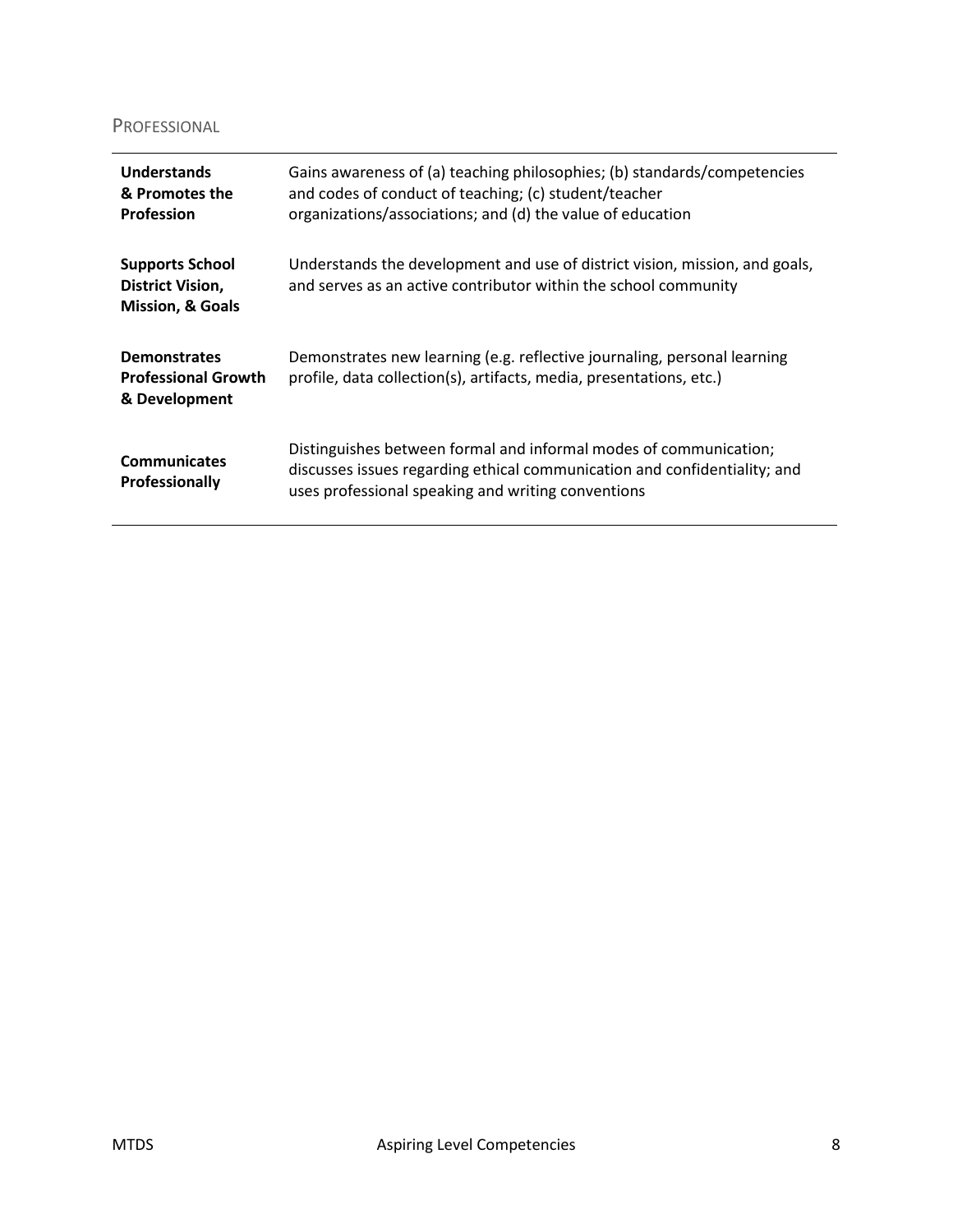#### PROFESSIONAL

| Understands<br>& Promotes the<br><b>Profession</b>                               | Gains awareness of (a) teaching philosophies; (b) standards/competencies<br>and codes of conduct of teaching; (c) student/teacher<br>organizations/associations; and (d) the value of education      |
|----------------------------------------------------------------------------------|------------------------------------------------------------------------------------------------------------------------------------------------------------------------------------------------------|
| <b>Supports School</b><br><b>District Vision,</b><br><b>Mission, &amp; Goals</b> | Understands the development and use of district vision, mission, and goals,<br>and serves as an active contributor within the school community                                                       |
| <b>Demonstrates</b><br><b>Professional Growth</b><br>& Development               | Demonstrates new learning (e.g. reflective journaling, personal learning<br>profile, data collection(s), artifacts, media, presentations, etc.)                                                      |
| <b>Communicates</b><br><b>Professionally</b>                                     | Distinguishes between formal and informal modes of communication;<br>discusses issues regarding ethical communication and confidentiality; and<br>uses professional speaking and writing conventions |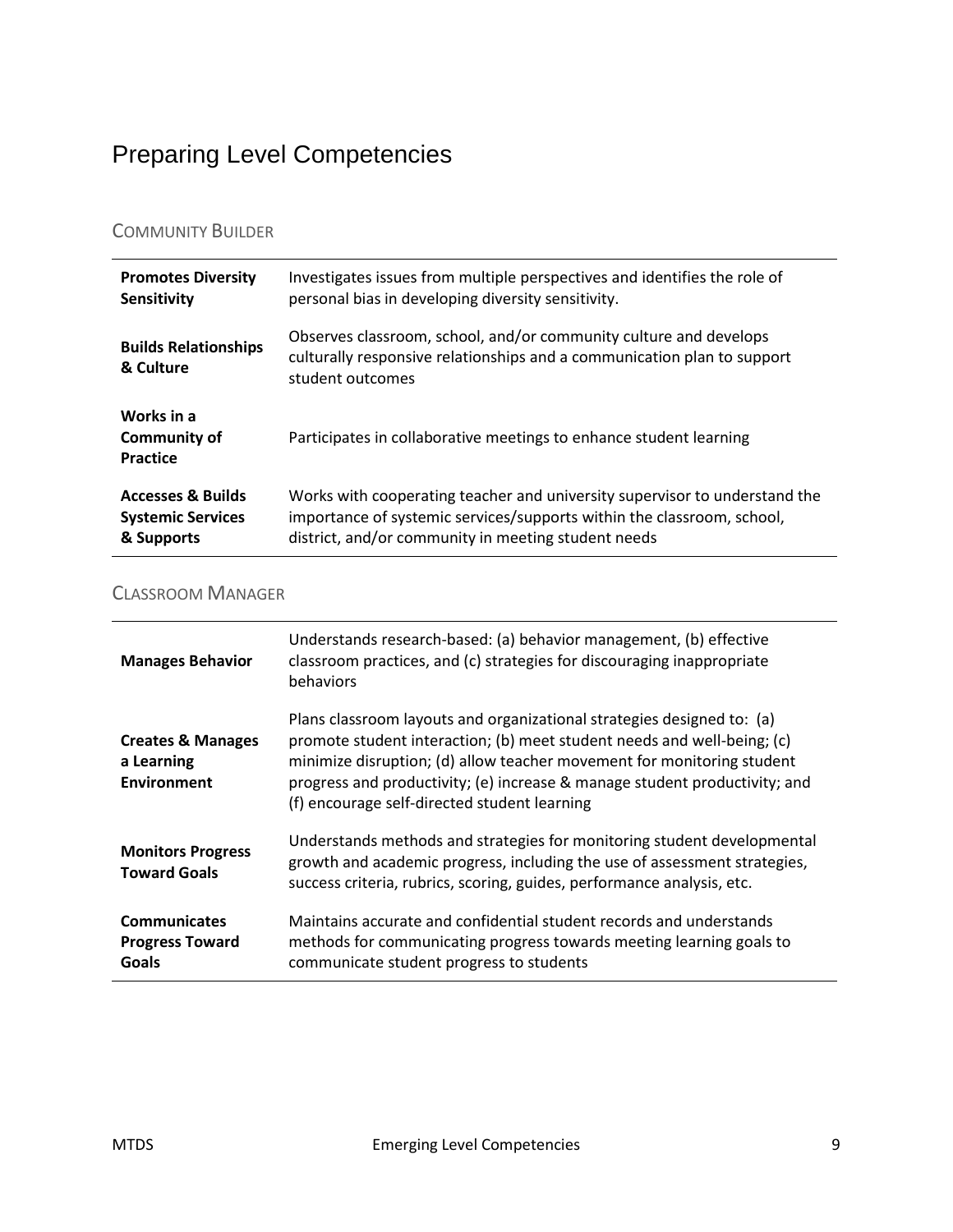## <span id="page-8-0"></span>Preparing Level Competencies

#### COMMUNITY BUILDER

| <b>Promotes Diversity</b>                     | Investigates issues from multiple perspectives and identifies the role of                                                                                        |
|-----------------------------------------------|------------------------------------------------------------------------------------------------------------------------------------------------------------------|
| <b>Sensitivity</b>                            | personal bias in developing diversity sensitivity.                                                                                                               |
| <b>Builds Relationships</b><br>& Culture      | Observes classroom, school, and/or community culture and develops<br>culturally responsive relationships and a communication plan to support<br>student outcomes |
| Works in a<br><b>Community of</b><br>Practice | Participates in collaborative meetings to enhance student learning                                                                                               |
| <b>Accesses &amp; Builds</b>                  | Works with cooperating teacher and university supervisor to understand the                                                                                       |
| <b>Systemic Services</b>                      | importance of systemic services/supports within the classroom, school,                                                                                           |
| & Supports                                    | district, and/or community in meeting student needs                                                                                                              |

#### CLASSROOM MANAGER

| <b>Manages Behavior</b>                                          | Understands research-based: (a) behavior management, (b) effective<br>classroom practices, and (c) strategies for discouraging inappropriate<br>behaviors                                                                                                                                                                                                 |
|------------------------------------------------------------------|-----------------------------------------------------------------------------------------------------------------------------------------------------------------------------------------------------------------------------------------------------------------------------------------------------------------------------------------------------------|
| <b>Creates &amp; Manages</b><br>a Learning<br><b>Environment</b> | Plans classroom layouts and organizational strategies designed to: (a)<br>promote student interaction; (b) meet student needs and well-being; (c)<br>minimize disruption; (d) allow teacher movement for monitoring student<br>progress and productivity; (e) increase & manage student productivity; and<br>(f) encourage self-directed student learning |
| <b>Monitors Progress</b><br><b>Toward Goals</b>                  | Understands methods and strategies for monitoring student developmental<br>growth and academic progress, including the use of assessment strategies,<br>success criteria, rubrics, scoring, guides, performance analysis, etc.                                                                                                                            |
| <b>Communicates</b><br><b>Progress Toward</b><br>Goals           | Maintains accurate and confidential student records and understands<br>methods for communicating progress towards meeting learning goals to<br>communicate student progress to students                                                                                                                                                                   |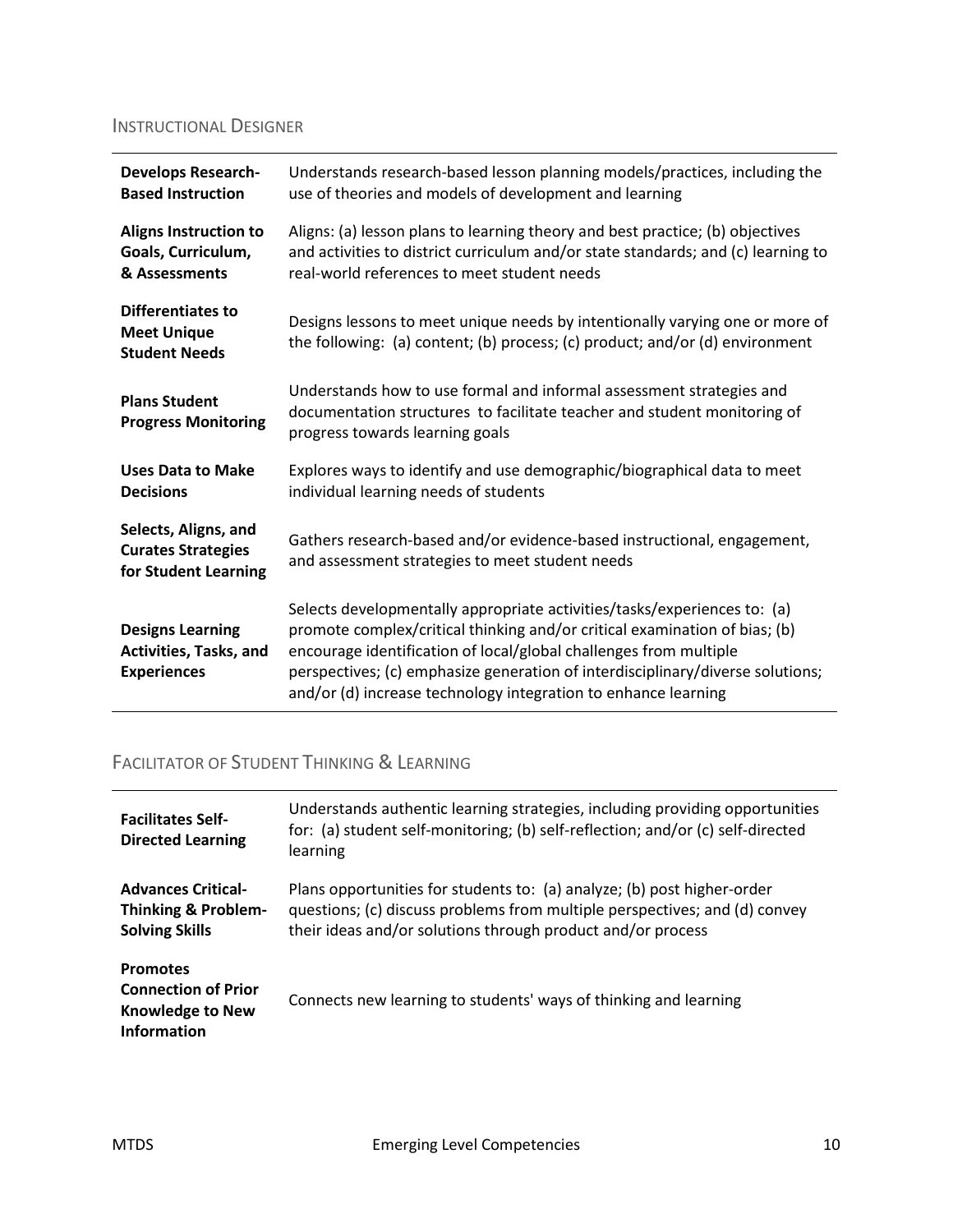### INSTRUCTIONAL DESIGNER

| <b>Develops Research-</b><br><b>Based Instruction</b>                     | Understands research-based lesson planning models/practices, including the<br>use of theories and models of development and learning                                                                                                                                                                                                                                            |
|---------------------------------------------------------------------------|---------------------------------------------------------------------------------------------------------------------------------------------------------------------------------------------------------------------------------------------------------------------------------------------------------------------------------------------------------------------------------|
| <b>Aligns Instruction to</b><br>Goals, Curriculum,<br>& Assessments       | Aligns: (a) lesson plans to learning theory and best practice; (b) objectives<br>and activities to district curriculum and/or state standards; and (c) learning to<br>real-world references to meet student needs                                                                                                                                                               |
| <b>Differentiates to</b><br><b>Meet Unique</b><br><b>Student Needs</b>    | Designs lessons to meet unique needs by intentionally varying one or more of<br>the following: (a) content; (b) process; (c) product; and/or (d) environment                                                                                                                                                                                                                    |
| <b>Plans Student</b><br><b>Progress Monitoring</b>                        | Understands how to use formal and informal assessment strategies and<br>documentation structures to facilitate teacher and student monitoring of<br>progress towards learning goals                                                                                                                                                                                             |
| <b>Uses Data to Make</b><br><b>Decisions</b>                              | Explores ways to identify and use demographic/biographical data to meet<br>individual learning needs of students                                                                                                                                                                                                                                                                |
| Selects, Aligns, and<br><b>Curates Strategies</b><br>for Student Learning | Gathers research-based and/or evidence-based instructional, engagement,<br>and assessment strategies to meet student needs                                                                                                                                                                                                                                                      |
| <b>Designs Learning</b><br>Activities, Tasks, and<br><b>Experiences</b>   | Selects developmentally appropriate activities/tasks/experiences to: (a)<br>promote complex/critical thinking and/or critical examination of bias; (b)<br>encourage identification of local/global challenges from multiple<br>perspectives; (c) emphasize generation of interdisciplinary/diverse solutions;<br>and/or (d) increase technology integration to enhance learning |

### FACILITATOR OF STUDENT THINKING & LEARNING

| <b>Facilitates Self-</b><br><b>Directed Learning</b>                                           | Understands authentic learning strategies, including providing opportunities<br>for: (a) student self-monitoring; (b) self-reflection; and/or (c) self-directed<br>learning                                          |
|------------------------------------------------------------------------------------------------|----------------------------------------------------------------------------------------------------------------------------------------------------------------------------------------------------------------------|
| <b>Advances Critical-</b><br><b>Thinking &amp; Problem-</b><br><b>Solving Skills</b>           | Plans opportunities for students to: (a) analyze; (b) post higher-order<br>questions; (c) discuss problems from multiple perspectives; and (d) convey<br>their ideas and/or solutions through product and/or process |
| <b>Promotes</b><br><b>Connection of Prior</b><br><b>Knowledge to New</b><br><b>Information</b> | Connects new learning to students' ways of thinking and learning                                                                                                                                                     |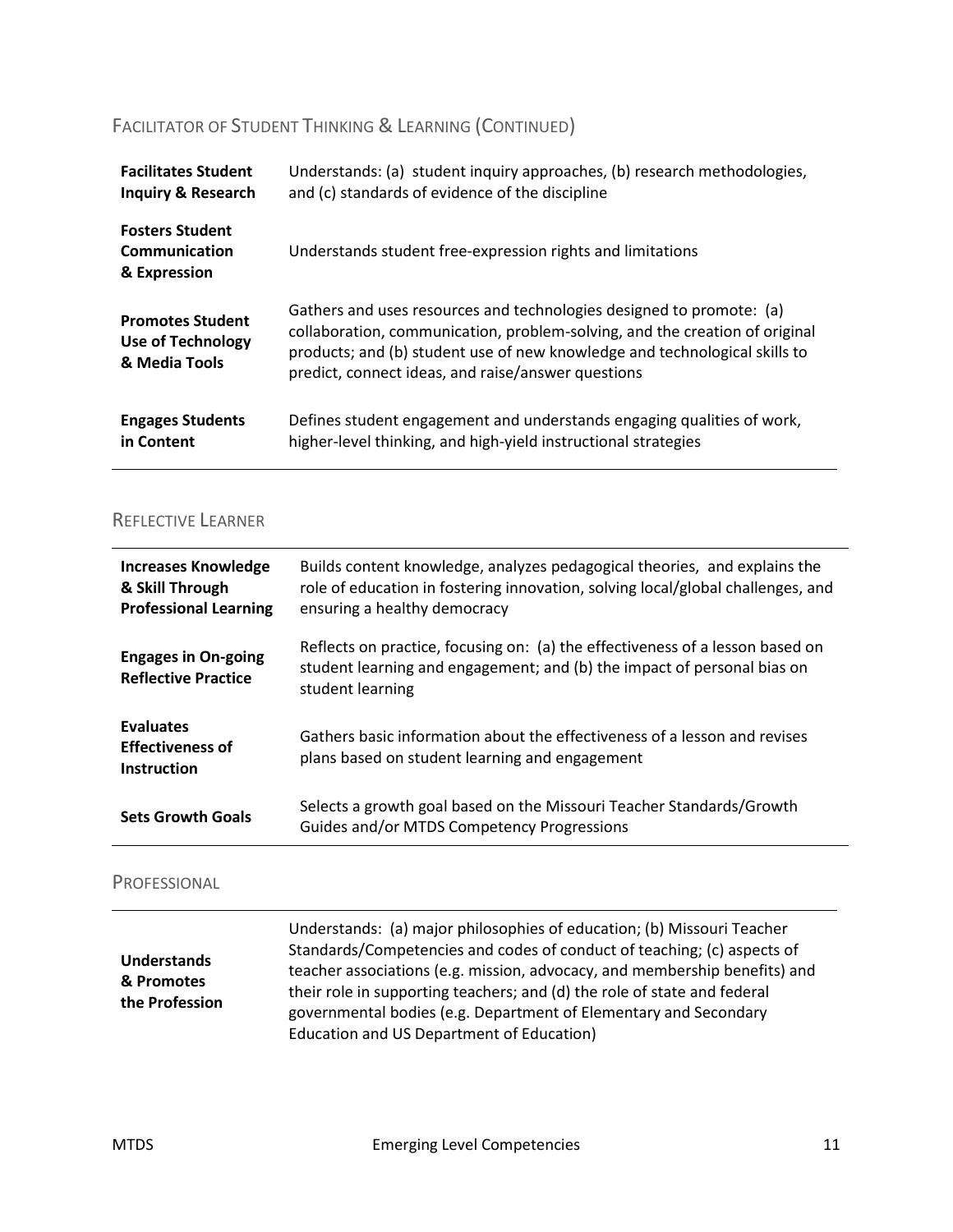### FACILITATOR OF STUDENT THINKING & LEARNING (CONTINUED)

| <b>Facilitates Student</b>                                    | Understands: (a) student inquiry approaches, (b) research methodologies,                                                                                                                                                                                                                |
|---------------------------------------------------------------|-----------------------------------------------------------------------------------------------------------------------------------------------------------------------------------------------------------------------------------------------------------------------------------------|
| <b>Inquiry &amp; Research</b>                                 | and (c) standards of evidence of the discipline                                                                                                                                                                                                                                         |
| <b>Fosters Student</b><br>Communication<br>& Expression       | Understands student free-expression rights and limitations                                                                                                                                                                                                                              |
| <b>Promotes Student</b><br>Use of Technology<br>& Media Tools | Gathers and uses resources and technologies designed to promote: (a)<br>collaboration, communication, problem-solving, and the creation of original<br>products; and (b) student use of new knowledge and technological skills to<br>predict, connect ideas, and raise/answer questions |
| <b>Engages Students</b>                                       | Defines student engagement and understands engaging qualities of work,                                                                                                                                                                                                                  |
| in Content                                                    | higher-level thinking, and high-yield instructional strategies                                                                                                                                                                                                                          |

#### REFLECTIVE LEARNER

| <b>Increases Knowledge</b><br>& Skill Through<br><b>Professional Learning</b> | Builds content knowledge, analyzes pedagogical theories, and explains the<br>role of education in fostering innovation, solving local/global challenges, and<br>ensuring a healthy democracy |
|-------------------------------------------------------------------------------|----------------------------------------------------------------------------------------------------------------------------------------------------------------------------------------------|
| <b>Engages in On-going</b><br><b>Reflective Practice</b>                      | Reflects on practice, focusing on: (a) the effectiveness of a lesson based on<br>student learning and engagement; and (b) the impact of personal bias on<br>student learning                 |
| <b>Evaluates</b><br><b>Effectiveness of</b><br><b>Instruction</b>             | Gathers basic information about the effectiveness of a lesson and revises<br>plans based on student learning and engagement                                                                  |
| <b>Sets Growth Goals</b>                                                      | Selects a growth goal based on the Missouri Teacher Standards/Growth<br>Guides and/or MTDS Competency Progressions                                                                           |

#### PROFESSIONAL

| <b>Understands</b><br>& Promotes<br>the Profession | Understands: (a) major philosophies of education; (b) Missouri Teacher<br>Standards/Competencies and codes of conduct of teaching; (c) aspects of<br>teacher associations (e.g. mission, advocacy, and membership benefits) and<br>their role in supporting teachers; and (d) the role of state and federal<br>governmental bodies (e.g. Department of Elementary and Secondary<br>Education and US Department of Education) |
|----------------------------------------------------|------------------------------------------------------------------------------------------------------------------------------------------------------------------------------------------------------------------------------------------------------------------------------------------------------------------------------------------------------------------------------------------------------------------------------|
|----------------------------------------------------|------------------------------------------------------------------------------------------------------------------------------------------------------------------------------------------------------------------------------------------------------------------------------------------------------------------------------------------------------------------------------------------------------------------------------|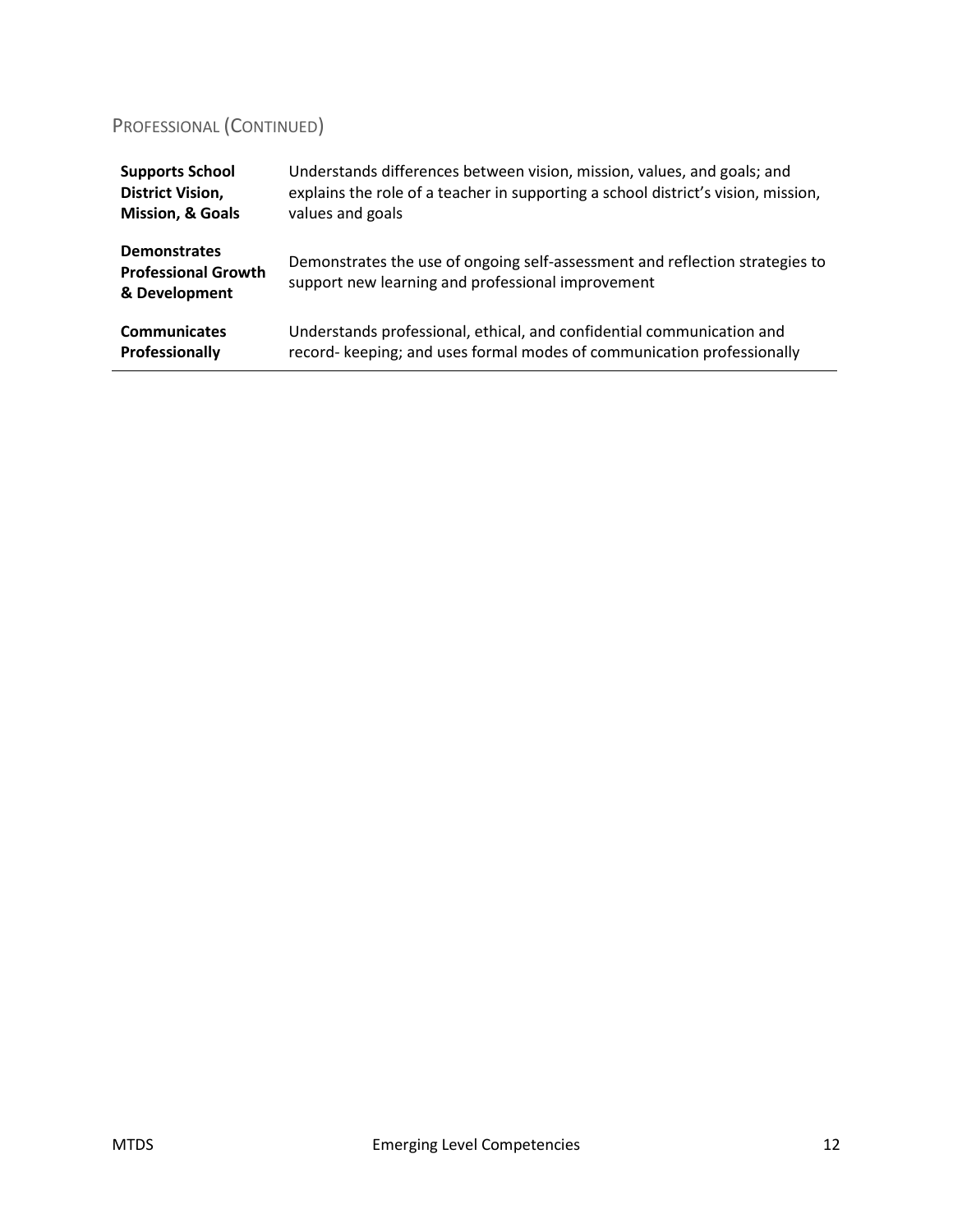### PROFESSIONAL (CONTINUED)

| <b>Supports School</b>                                             | Understands differences between vision, mission, values, and goals; and                                                           |
|--------------------------------------------------------------------|-----------------------------------------------------------------------------------------------------------------------------------|
| <b>District Vision,</b>                                            | explains the role of a teacher in supporting a school district's vision, mission,                                                 |
| <b>Mission, &amp; Goals</b>                                        | values and goals                                                                                                                  |
| <b>Demonstrates</b><br><b>Professional Growth</b><br>& Development | Demonstrates the use of ongoing self-assessment and reflection strategies to<br>support new learning and professional improvement |
| <b>Communicates</b>                                                | Understands professional, ethical, and confidential communication and                                                             |
| Professionally                                                     | record- keeping; and uses formal modes of communication professionally                                                            |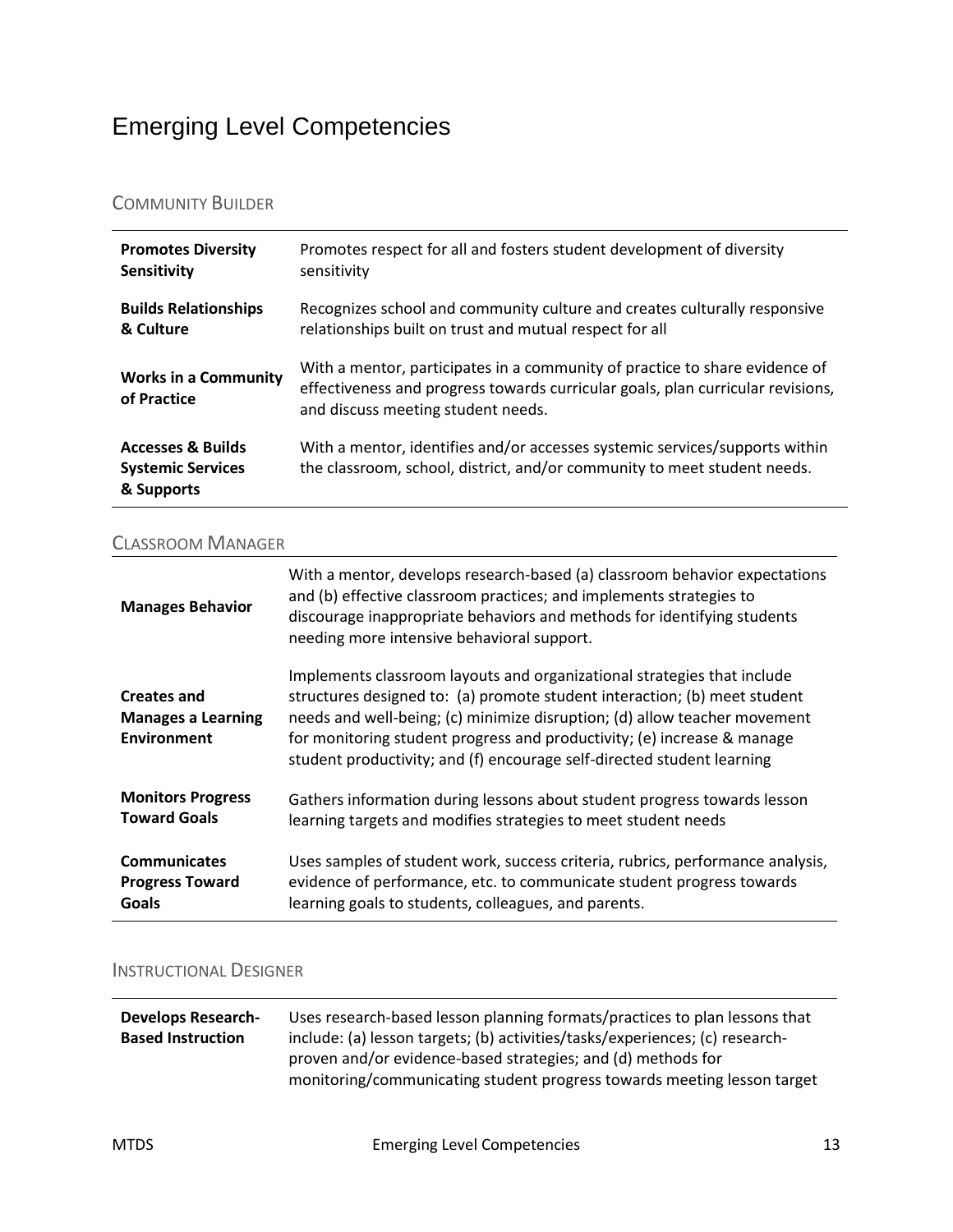## <span id="page-12-0"></span>Emerging Level Competencies

#### COMMUNITY BUILDER

| <b>Promotes Diversity</b>                                              | Promotes respect for all and fosters student development of diversity                                                                                                                                |
|------------------------------------------------------------------------|------------------------------------------------------------------------------------------------------------------------------------------------------------------------------------------------------|
| Sensitivity                                                            | sensitivity                                                                                                                                                                                          |
| <b>Builds Relationships</b>                                            | Recognizes school and community culture and creates culturally responsive                                                                                                                            |
| & Culture                                                              | relationships built on trust and mutual respect for all                                                                                                                                              |
| <b>Works in a Community</b><br>of Practice                             | With a mentor, participates in a community of practice to share evidence of<br>effectiveness and progress towards curricular goals, plan curricular revisions,<br>and discuss meeting student needs. |
| <b>Accesses &amp; Builds</b><br><b>Systemic Services</b><br>& Supports | With a mentor, identifies and/or accesses systemic services/supports within<br>the classroom, school, district, and/or community to meet student needs.                                              |

#### CLASSROOM MANAGER

| <b>Manages Behavior</b>                                               | With a mentor, develops research-based (a) classroom behavior expectations<br>and (b) effective classroom practices; and implements strategies to<br>discourage inappropriate behaviors and methods for identifying students<br>needing more intensive behavioral support.                                                                                                             |
|-----------------------------------------------------------------------|----------------------------------------------------------------------------------------------------------------------------------------------------------------------------------------------------------------------------------------------------------------------------------------------------------------------------------------------------------------------------------------|
| <b>Creates and</b><br><b>Manages a Learning</b><br><b>Environment</b> | Implements classroom layouts and organizational strategies that include<br>structures designed to: (a) promote student interaction; (b) meet student<br>needs and well-being; (c) minimize disruption; (d) allow teacher movement<br>for monitoring student progress and productivity; (e) increase & manage<br>student productivity; and (f) encourage self-directed student learning |
| <b>Monitors Progress</b>                                              | Gathers information during lessons about student progress towards lesson                                                                                                                                                                                                                                                                                                               |
| <b>Toward Goals</b>                                                   | learning targets and modifies strategies to meet student needs                                                                                                                                                                                                                                                                                                                         |
| <b>Communicates</b>                                                   | Uses samples of student work, success criteria, rubrics, performance analysis,                                                                                                                                                                                                                                                                                                         |
| <b>Progress Toward</b>                                                | evidence of performance, etc. to communicate student progress towards                                                                                                                                                                                                                                                                                                                  |
| Goals                                                                 | learning goals to students, colleagues, and parents.                                                                                                                                                                                                                                                                                                                                   |

### INSTRUCTIONAL DESIGNER

| <b>Develops Research-</b> | Uses research-based lesson planning formats/practices to plan lessons that                                                              |
|---------------------------|-----------------------------------------------------------------------------------------------------------------------------------------|
| <b>Based Instruction</b>  | include: (a) lesson targets; (b) activities/tasks/experiences; (c) research-                                                            |
|                           | proven and/or evidence-based strategies; and (d) methods for<br>monitoring/communicating student progress towards meeting lesson target |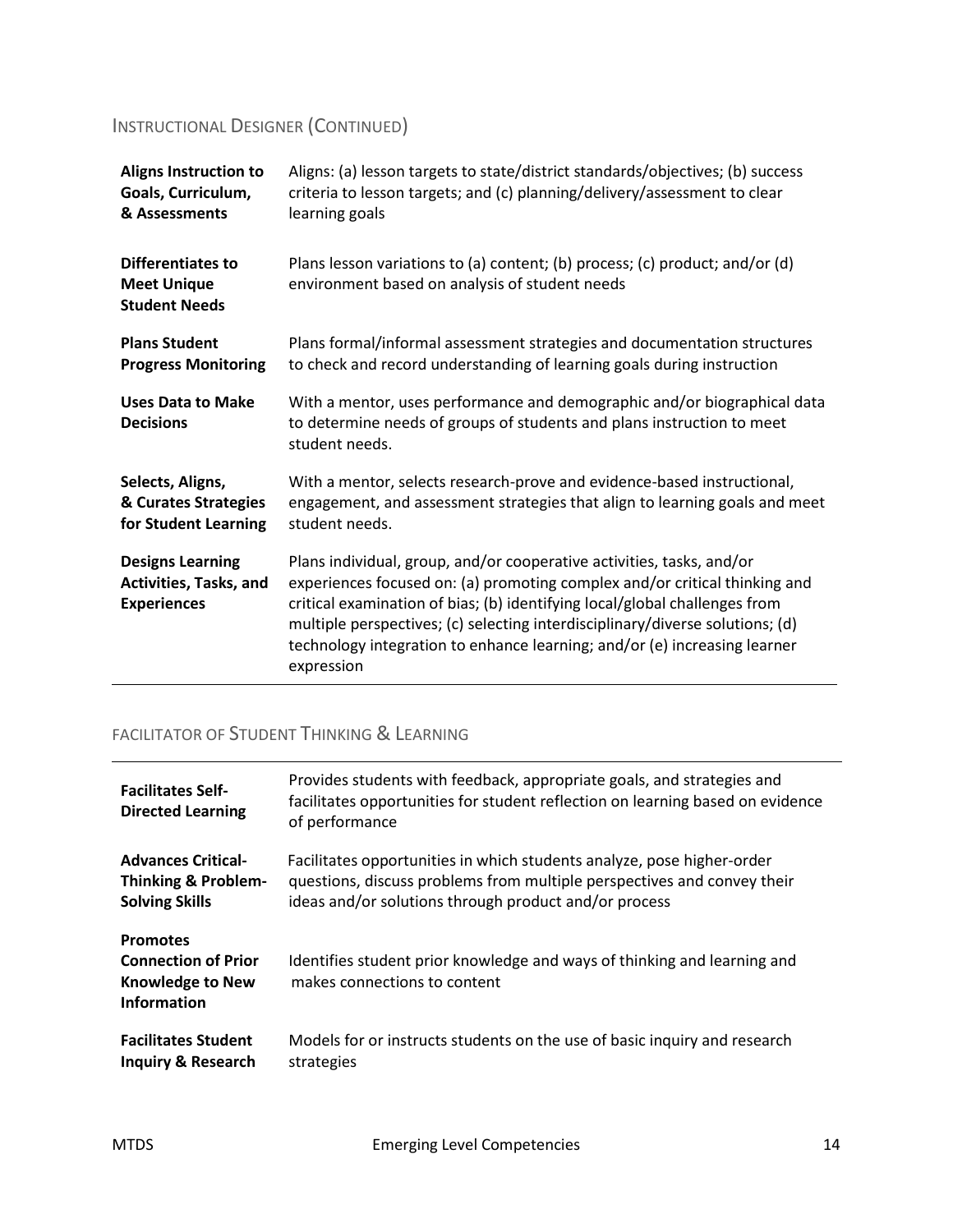### INSTRUCTIONAL DESIGNER (CONTINUED)

| <b>Aligns Instruction to</b>                                            | Aligns: (a) lesson targets to state/district standards/objectives; (b) success                                                                                                                                                                                                                                                                                                                                |
|-------------------------------------------------------------------------|---------------------------------------------------------------------------------------------------------------------------------------------------------------------------------------------------------------------------------------------------------------------------------------------------------------------------------------------------------------------------------------------------------------|
| Goals, Curriculum,                                                      | criteria to lesson targets; and (c) planning/delivery/assessment to clear                                                                                                                                                                                                                                                                                                                                     |
| & Assessments                                                           | learning goals                                                                                                                                                                                                                                                                                                                                                                                                |
| <b>Differentiates to</b><br><b>Meet Unique</b><br><b>Student Needs</b>  | Plans lesson variations to (a) content; (b) process; (c) product; and/or (d)<br>environment based on analysis of student needs                                                                                                                                                                                                                                                                                |
| <b>Plans Student</b>                                                    | Plans formal/informal assessment strategies and documentation structures                                                                                                                                                                                                                                                                                                                                      |
| <b>Progress Monitoring</b>                                              | to check and record understanding of learning goals during instruction                                                                                                                                                                                                                                                                                                                                        |
| <b>Uses Data to Make</b><br><b>Decisions</b>                            | With a mentor, uses performance and demographic and/or biographical data<br>to determine needs of groups of students and plans instruction to meet<br>student needs.                                                                                                                                                                                                                                          |
| Selects, Aligns,                                                        | With a mentor, selects research-prove and evidence-based instructional,                                                                                                                                                                                                                                                                                                                                       |
| & Curates Strategies                                                    | engagement, and assessment strategies that align to learning goals and meet                                                                                                                                                                                                                                                                                                                                   |
| for Student Learning                                                    | student needs.                                                                                                                                                                                                                                                                                                                                                                                                |
| <b>Designs Learning</b><br>Activities, Tasks, and<br><b>Experiences</b> | Plans individual, group, and/or cooperative activities, tasks, and/or<br>experiences focused on: (a) promoting complex and/or critical thinking and<br>critical examination of bias; (b) identifying local/global challenges from<br>multiple perspectives; (c) selecting interdisciplinary/diverse solutions; (d)<br>technology integration to enhance learning; and/or (e) increasing learner<br>expression |

### FACILITATOR OF STUDENT THINKING & LEARNING

| <b>Facilitates Self-</b><br><b>Directed Learning</b>                                           | Provides students with feedback, appropriate goals, and strategies and<br>facilitates opportunities for student reflection on learning based on evidence<br>of performance |
|------------------------------------------------------------------------------------------------|----------------------------------------------------------------------------------------------------------------------------------------------------------------------------|
| <b>Advances Critical-</b>                                                                      | Facilitates opportunities in which students analyze, pose higher-order                                                                                                     |
| <b>Thinking &amp; Problem-</b>                                                                 | questions, discuss problems from multiple perspectives and convey their                                                                                                    |
| <b>Solving Skills</b>                                                                          | ideas and/or solutions through product and/or process                                                                                                                      |
| <b>Promotes</b><br><b>Connection of Prior</b><br><b>Knowledge to New</b><br><b>Information</b> | Identifies student prior knowledge and ways of thinking and learning and<br>makes connections to content                                                                   |
| <b>Facilitates Student</b>                                                                     | Models for or instructs students on the use of basic inquiry and research                                                                                                  |
| <b>Inquiry &amp; Research</b>                                                                  | strategies                                                                                                                                                                 |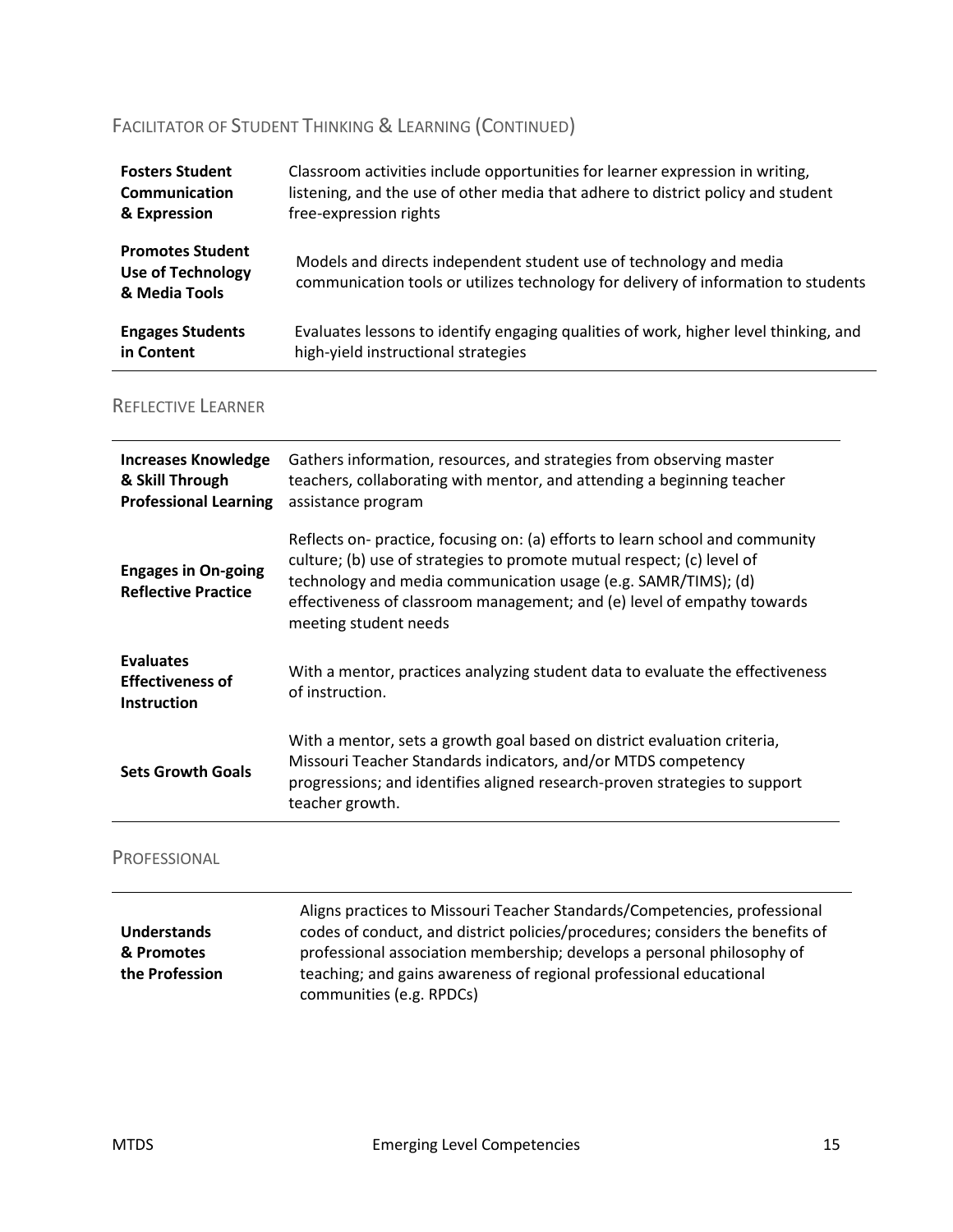### FACILITATOR OF STUDENT THINKING & LEARNING (CONTINUED)

| <b>Fosters Student</b>                                               | Classroom activities include opportunities for learner expression in writing,                                                                            |
|----------------------------------------------------------------------|----------------------------------------------------------------------------------------------------------------------------------------------------------|
| Communication                                                        | listening, and the use of other media that adhere to district policy and student                                                                         |
| & Expression                                                         | free-expression rights                                                                                                                                   |
| <b>Promotes Student</b><br><b>Use of Technology</b><br>& Media Tools | Models and directs independent student use of technology and media<br>communication tools or utilizes technology for delivery of information to students |
| <b>Engages Students</b>                                              | Evaluates lessons to identify engaging qualities of work, higher level thinking, and                                                                     |
| in Content                                                           | high-yield instructional strategies                                                                                                                      |

### REFLECTIVE LEARNER

| <b>Increases Knowledge</b><br>& Skill Through<br><b>Professional Learning</b> | Gathers information, resources, and strategies from observing master<br>teachers, collaborating with mentor, and attending a beginning teacher<br>assistance program                                                                                                                                                          |
|-------------------------------------------------------------------------------|-------------------------------------------------------------------------------------------------------------------------------------------------------------------------------------------------------------------------------------------------------------------------------------------------------------------------------|
| <b>Engages in On-going</b><br><b>Reflective Practice</b>                      | Reflects on- practice, focusing on: (a) efforts to learn school and community<br>culture; (b) use of strategies to promote mutual respect; (c) level of<br>technology and media communication usage (e.g. SAMR/TIMS); (d)<br>effectiveness of classroom management; and (e) level of empathy towards<br>meeting student needs |
| <b>Evaluates</b><br><b>Effectiveness of</b><br><b>Instruction</b>             | With a mentor, practices analyzing student data to evaluate the effectiveness<br>of instruction.                                                                                                                                                                                                                              |
| <b>Sets Growth Goals</b>                                                      | With a mentor, sets a growth goal based on district evaluation criteria,<br>Missouri Teacher Standards indicators, and/or MTDS competency<br>progressions; and identifies aligned research-proven strategies to support<br>teacher growth.                                                                                    |

#### PROFESSIONAL

|                | Aligns practices to Missouri Teacher Standards/Competencies, professional     |
|----------------|-------------------------------------------------------------------------------|
| Understands    | codes of conduct, and district policies/procedures; considers the benefits of |
| & Promotes     | professional association membership; develops a personal philosophy of        |
| the Profession | teaching; and gains awareness of regional professional educational            |
|                | communities (e.g. RPDCs)                                                      |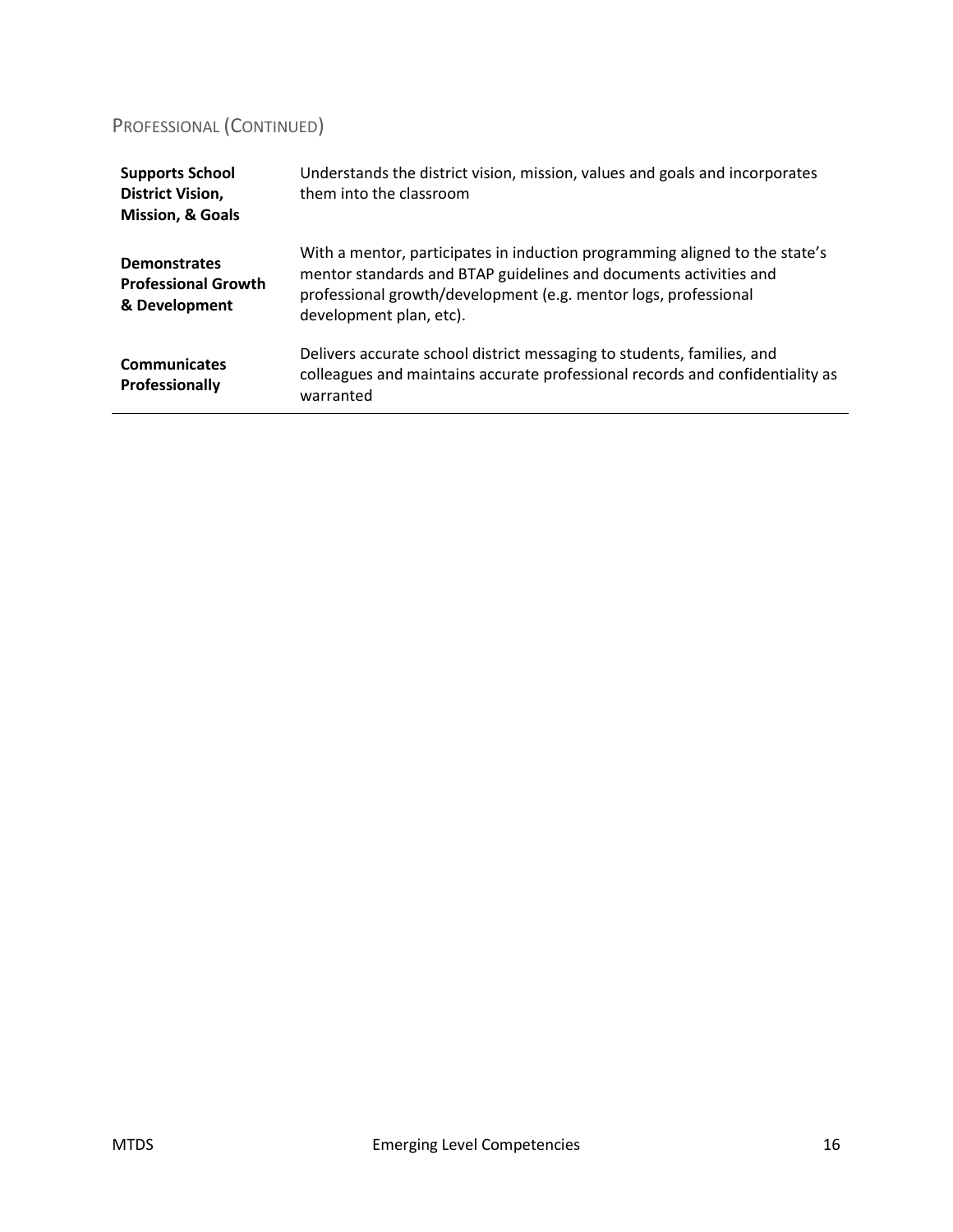### PROFESSIONAL (CONTINUED)

| <b>Communicates</b><br><b>Professionally</b>                                     | Delivers accurate school district messaging to students, families, and<br>colleagues and maintains accurate professional records and confidentiality as<br>warranted                                                                           |
|----------------------------------------------------------------------------------|------------------------------------------------------------------------------------------------------------------------------------------------------------------------------------------------------------------------------------------------|
| <b>Demonstrates</b><br><b>Professional Growth</b><br>& Development               | With a mentor, participates in induction programming aligned to the state's<br>mentor standards and BTAP guidelines and documents activities and<br>professional growth/development (e.g. mentor logs, professional<br>development plan, etc). |
| <b>Supports School</b><br><b>District Vision,</b><br><b>Mission, &amp; Goals</b> | Understands the district vision, mission, values and goals and incorporates<br>them into the classroom                                                                                                                                         |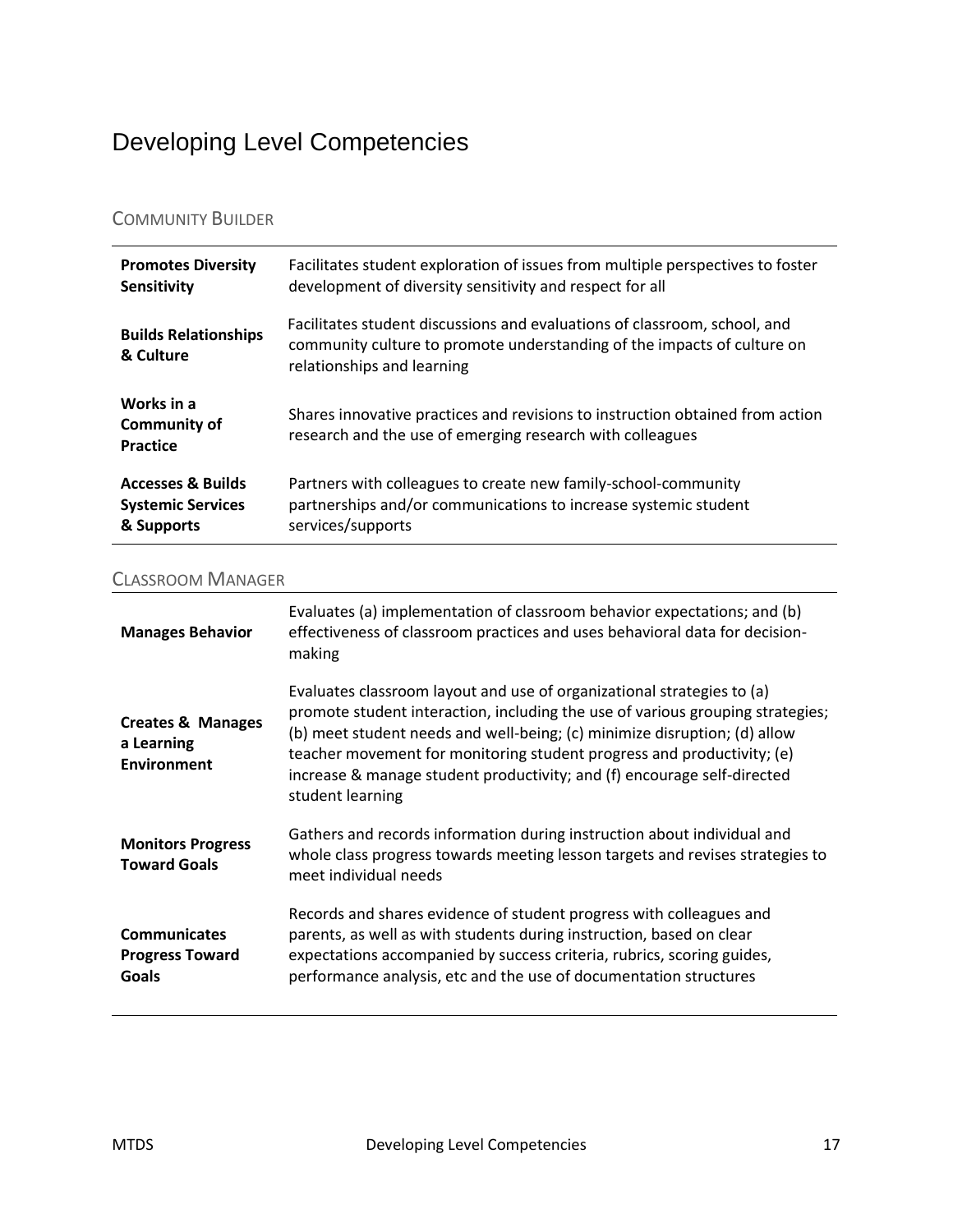## <span id="page-16-0"></span>Developing Level Competencies

### COMMUNITY BUILDER

| <b>Promotes Diversity</b>                     | Facilitates student exploration of issues from multiple perspectives to foster                                                                                                     |
|-----------------------------------------------|------------------------------------------------------------------------------------------------------------------------------------------------------------------------------------|
| Sensitivity                                   | development of diversity sensitivity and respect for all                                                                                                                           |
| <b>Builds Relationships</b><br>& Culture      | Facilitates student discussions and evaluations of classroom, school, and<br>community culture to promote understanding of the impacts of culture on<br>relationships and learning |
| Works in a<br><b>Community of</b><br>Practice | Shares innovative practices and revisions to instruction obtained from action<br>research and the use of emerging research with colleagues                                         |
| <b>Accesses &amp; Builds</b>                  | Partners with colleagues to create new family-school-community                                                                                                                     |
| <b>Systemic Services</b>                      | partnerships and/or communications to increase systemic student                                                                                                                    |
| & Supports                                    | services/supports                                                                                                                                                                  |

#### CLASSROOM MANAGER

| <b>Manages Behavior</b>                                          | Evaluates (a) implementation of classroom behavior expectations; and (b)<br>effectiveness of classroom practices and uses behavioral data for decision-<br>making                                                                                                                                                                                                                                              |
|------------------------------------------------------------------|----------------------------------------------------------------------------------------------------------------------------------------------------------------------------------------------------------------------------------------------------------------------------------------------------------------------------------------------------------------------------------------------------------------|
| <b>Creates &amp; Manages</b><br>a Learning<br><b>Environment</b> | Evaluates classroom layout and use of organizational strategies to (a)<br>promote student interaction, including the use of various grouping strategies;<br>(b) meet student needs and well-being; (c) minimize disruption; (d) allow<br>teacher movement for monitoring student progress and productivity; (e)<br>increase & manage student productivity; and (f) encourage self-directed<br>student learning |
| <b>Monitors Progress</b><br><b>Toward Goals</b>                  | Gathers and records information during instruction about individual and<br>whole class progress towards meeting lesson targets and revises strategies to<br>meet individual needs                                                                                                                                                                                                                              |
| <b>Communicates</b><br><b>Progress Toward</b><br><b>Goals</b>    | Records and shares evidence of student progress with colleagues and<br>parents, as well as with students during instruction, based on clear<br>expectations accompanied by success criteria, rubrics, scoring guides,<br>performance analysis, etc and the use of documentation structures                                                                                                                     |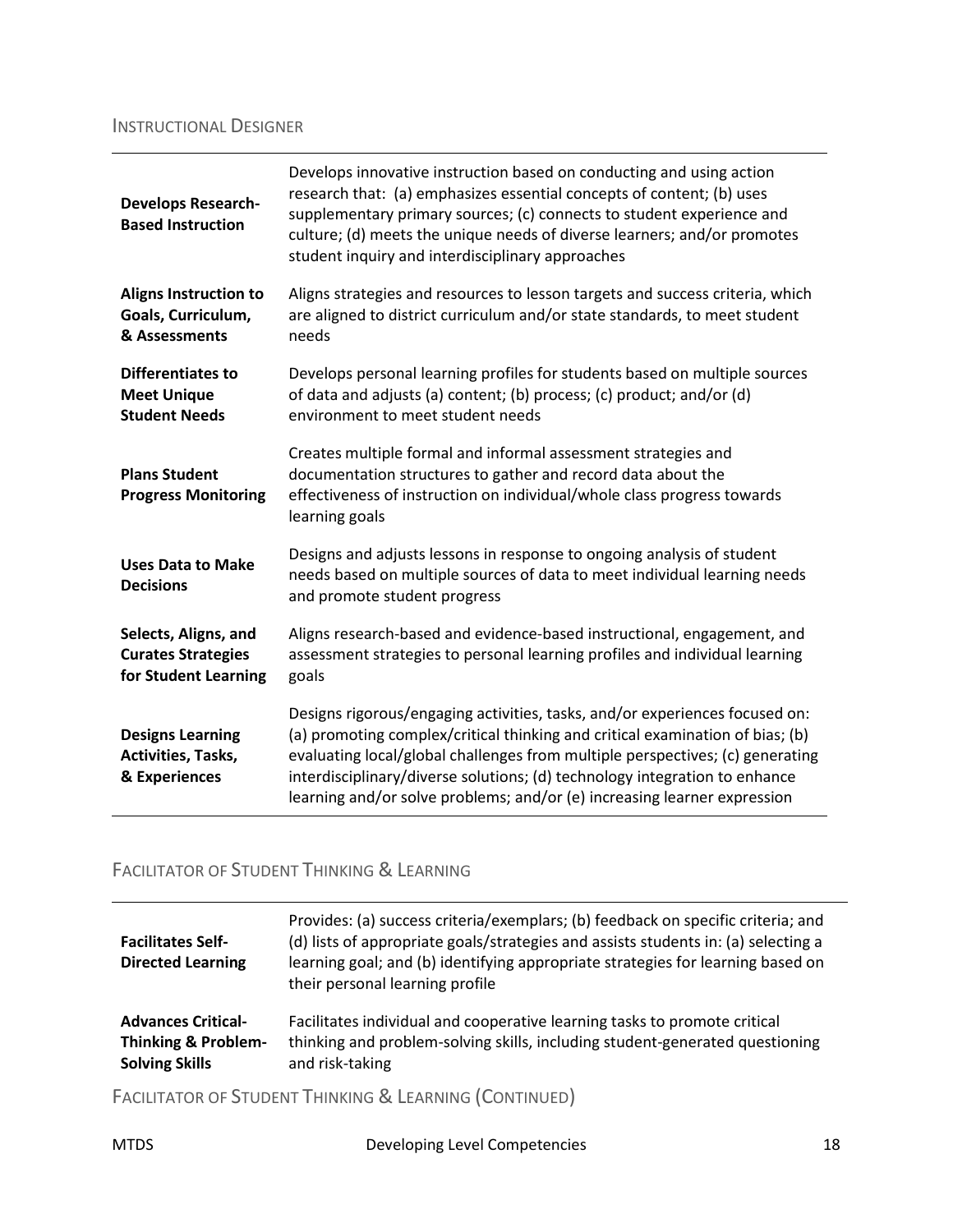#### INSTRUCTIONAL DESIGNER

| <b>Develops Research-</b><br><b>Based Instruction</b>                     | Develops innovative instruction based on conducting and using action<br>research that: (a) emphasizes essential concepts of content; (b) uses<br>supplementary primary sources; (c) connects to student experience and<br>culture; (d) meets the unique needs of diverse learners; and/or promotes<br>student inquiry and interdisciplinary approaches                                                  |
|---------------------------------------------------------------------------|---------------------------------------------------------------------------------------------------------------------------------------------------------------------------------------------------------------------------------------------------------------------------------------------------------------------------------------------------------------------------------------------------------|
| <b>Aligns Instruction to</b><br>Goals, Curriculum,<br>& Assessments       | Aligns strategies and resources to lesson targets and success criteria, which<br>are aligned to district curriculum and/or state standards, to meet student<br>needs                                                                                                                                                                                                                                    |
| <b>Differentiates to</b><br><b>Meet Unique</b><br><b>Student Needs</b>    | Develops personal learning profiles for students based on multiple sources<br>of data and adjusts (a) content; (b) process; (c) product; and/or (d)<br>environment to meet student needs                                                                                                                                                                                                                |
| <b>Plans Student</b><br><b>Progress Monitoring</b>                        | Creates multiple formal and informal assessment strategies and<br>documentation structures to gather and record data about the<br>effectiveness of instruction on individual/whole class progress towards<br>learning goals                                                                                                                                                                             |
| <b>Uses Data to Make</b><br><b>Decisions</b>                              | Designs and adjusts lessons in response to ongoing analysis of student<br>needs based on multiple sources of data to meet individual learning needs<br>and promote student progress                                                                                                                                                                                                                     |
| Selects, Aligns, and<br><b>Curates Strategies</b><br>for Student Learning | Aligns research-based and evidence-based instructional, engagement, and<br>assessment strategies to personal learning profiles and individual learning<br>goals                                                                                                                                                                                                                                         |
| <b>Designs Learning</b><br>Activities, Tasks,<br>& Experiences            | Designs rigorous/engaging activities, tasks, and/or experiences focused on:<br>(a) promoting complex/critical thinking and critical examination of bias; (b)<br>evaluating local/global challenges from multiple perspectives; (c) generating<br>interdisciplinary/diverse solutions; (d) technology integration to enhance<br>learning and/or solve problems; and/or (e) increasing learner expression |

### FACILITATOR OF STUDENT THINKING & LEARNING

| <b>Facilitates Self-</b><br><b>Directed Learning</b> | Provides: (a) success criteria/exemplars; (b) feedback on specific criteria; and<br>(d) lists of appropriate goals/strategies and assists students in: (a) selecting a<br>learning goal; and (b) identifying appropriate strategies for learning based on<br>their personal learning profile |
|------------------------------------------------------|----------------------------------------------------------------------------------------------------------------------------------------------------------------------------------------------------------------------------------------------------------------------------------------------|
| <b>Advances Critical-</b>                            | Facilitates individual and cooperative learning tasks to promote critical                                                                                                                                                                                                                    |
| <b>Thinking &amp; Problem-</b>                       | thinking and problem-solving skills, including student-generated questioning                                                                                                                                                                                                                 |
| <b>Solving Skills</b>                                | and risk-taking                                                                                                                                                                                                                                                                              |

FACILITATOR OF STUDENT THINKING & LEARNING (CONTINUED)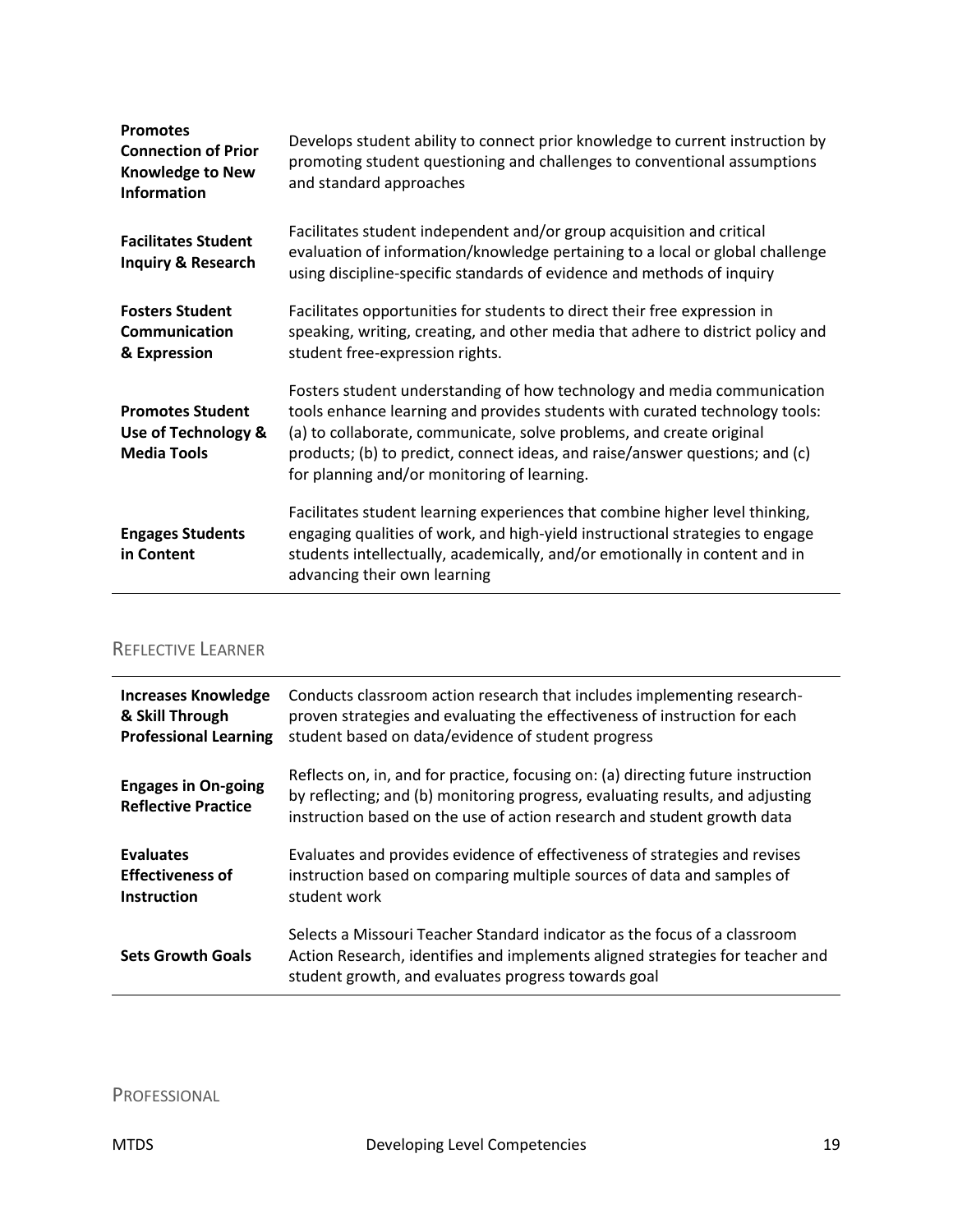| <b>Promotes</b><br><b>Connection of Prior</b><br><b>Knowledge to New</b><br><b>Information</b> | Develops student ability to connect prior knowledge to current instruction by<br>promoting student questioning and challenges to conventional assumptions<br>and standard approaches                                                                                                                                                                          |
|------------------------------------------------------------------------------------------------|---------------------------------------------------------------------------------------------------------------------------------------------------------------------------------------------------------------------------------------------------------------------------------------------------------------------------------------------------------------|
| <b>Facilitates Student</b><br><b>Inquiry &amp; Research</b>                                    | Facilitates student independent and/or group acquisition and critical<br>evaluation of information/knowledge pertaining to a local or global challenge<br>using discipline-specific standards of evidence and methods of inquiry                                                                                                                              |
| <b>Fosters Student</b><br>Communication<br>& Expression                                        | Facilitates opportunities for students to direct their free expression in<br>speaking, writing, creating, and other media that adhere to district policy and<br>student free-expression rights.                                                                                                                                                               |
| <b>Promotes Student</b><br>Use of Technology &<br><b>Media Tools</b>                           | Fosters student understanding of how technology and media communication<br>tools enhance learning and provides students with curated technology tools:<br>(a) to collaborate, communicate, solve problems, and create original<br>products; (b) to predict, connect ideas, and raise/answer questions; and (c)<br>for planning and/or monitoring of learning. |
| <b>Engages Students</b><br>in Content                                                          | Facilitates student learning experiences that combine higher level thinking,<br>engaging qualities of work, and high-yield instructional strategies to engage<br>students intellectually, academically, and/or emotionally in content and in<br>advancing their own learning                                                                                  |

### REFLECTIVE LEARNER

| <b>Increases Knowledge</b><br>& Skill Through<br><b>Professional Learning</b> | Conducts classroom action research that includes implementing research-<br>proven strategies and evaluating the effectiveness of instruction for each<br>student based on data/evidence of student progress                                  |
|-------------------------------------------------------------------------------|----------------------------------------------------------------------------------------------------------------------------------------------------------------------------------------------------------------------------------------------|
| <b>Engages in On-going</b><br><b>Reflective Practice</b>                      | Reflects on, in, and for practice, focusing on: (a) directing future instruction<br>by reflecting; and (b) monitoring progress, evaluating results, and adjusting<br>instruction based on the use of action research and student growth data |
| <b>Evaluates</b><br><b>Effectiveness of</b><br><b>Instruction</b>             | Evaluates and provides evidence of effectiveness of strategies and revises<br>instruction based on comparing multiple sources of data and samples of<br>student work                                                                         |
| <b>Sets Growth Goals</b>                                                      | Selects a Missouri Teacher Standard indicator as the focus of a classroom<br>Action Research, identifies and implements aligned strategies for teacher and<br>student growth, and evaluates progress towards goal                            |

PROFESSIONAL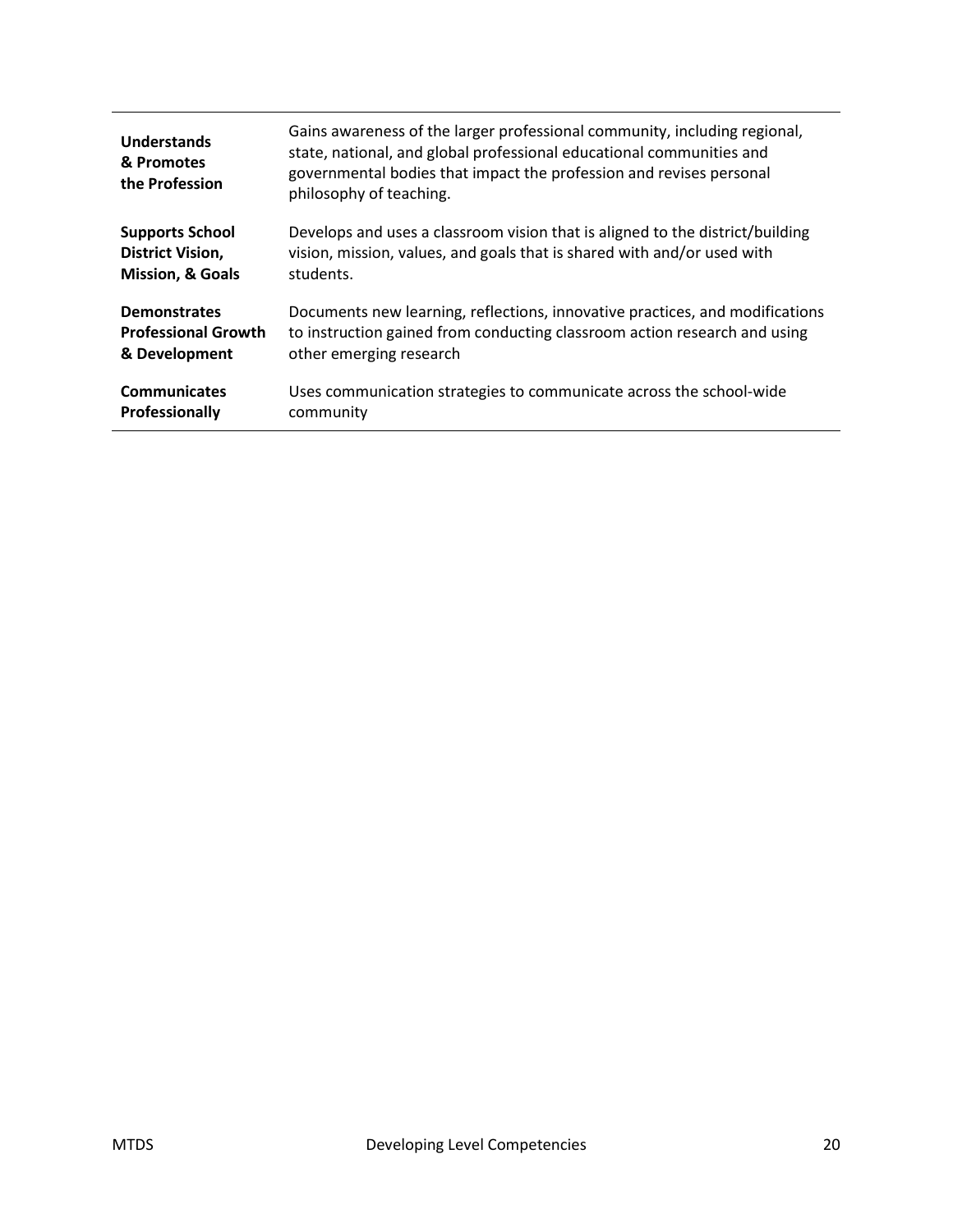| <b>Understands</b><br>& Promotes<br>the Profession | Gains awareness of the larger professional community, including regional,<br>state, national, and global professional educational communities and<br>governmental bodies that impact the profession and revises personal<br>philosophy of teaching. |
|----------------------------------------------------|-----------------------------------------------------------------------------------------------------------------------------------------------------------------------------------------------------------------------------------------------------|
| <b>Supports School</b>                             | Develops and uses a classroom vision that is aligned to the district/building                                                                                                                                                                       |
| District Vision,                                   | vision, mission, values, and goals that is shared with and/or used with                                                                                                                                                                             |
| <b>Mission, &amp; Goals</b>                        | students.                                                                                                                                                                                                                                           |
| <b>Demonstrates</b>                                | Documents new learning, reflections, innovative practices, and modifications                                                                                                                                                                        |
| <b>Professional Growth</b>                         | to instruction gained from conducting classroom action research and using                                                                                                                                                                           |
| & Development                                      | other emerging research                                                                                                                                                                                                                             |
| <b>Communicates</b>                                | Uses communication strategies to communicate across the school-wide                                                                                                                                                                                 |
| Professionally                                     | community                                                                                                                                                                                                                                           |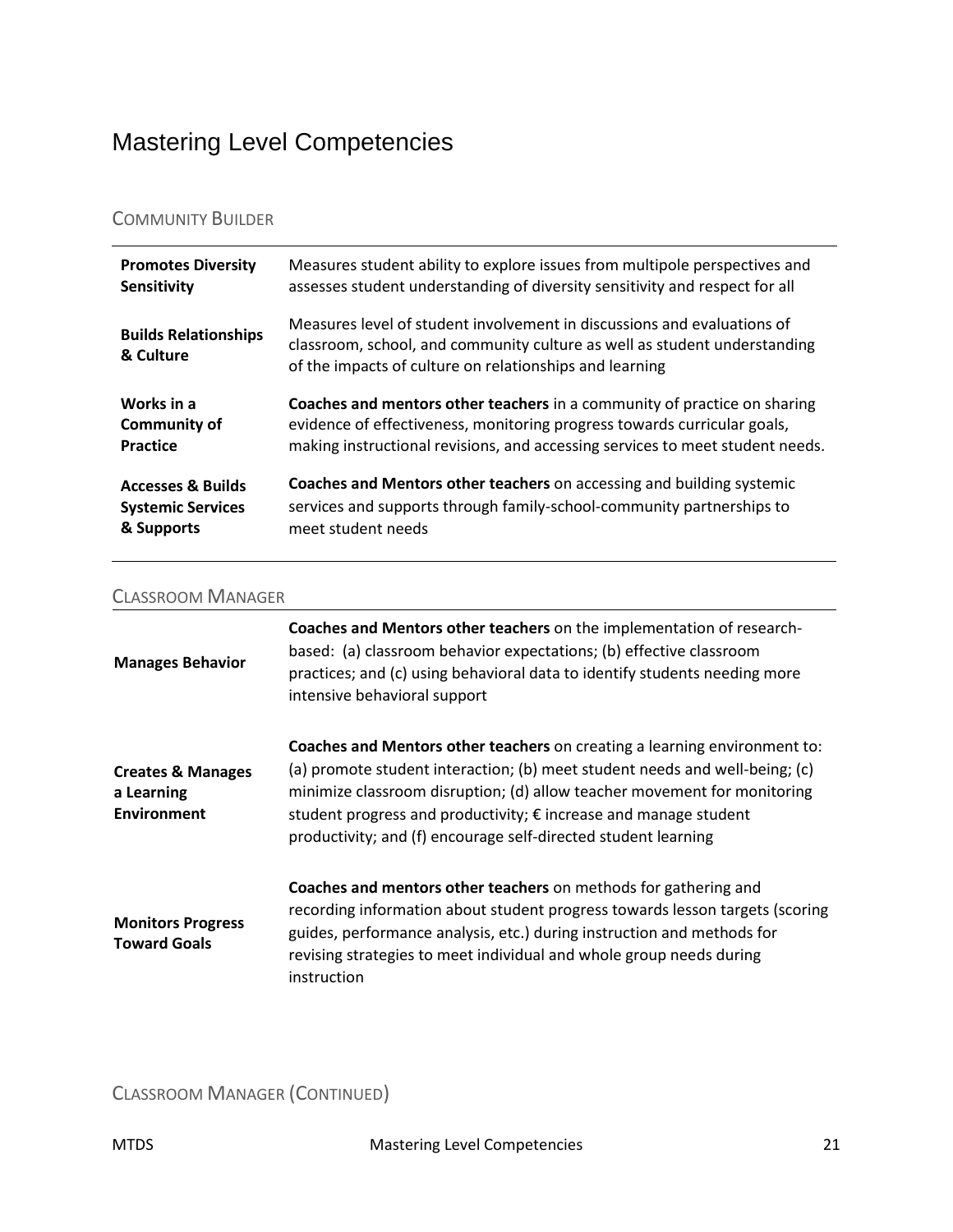## <span id="page-20-0"></span>Mastering Level Competencies

### COMMUNITY BUILDER

| <b>Promotes Diversity</b>                | Measures student ability to explore issues from multipole perspectives and                                                                                                                                      |
|------------------------------------------|-----------------------------------------------------------------------------------------------------------------------------------------------------------------------------------------------------------------|
| <b>Sensitivity</b>                       | assesses student understanding of diversity sensitivity and respect for all                                                                                                                                     |
| <b>Builds Relationships</b><br>& Culture | Measures level of student involvement in discussions and evaluations of<br>classroom, school, and community culture as well as student understanding<br>of the impacts of culture on relationships and learning |
| Works in a                               | <b>Coaches and mentors other teachers</b> in a community of practice on sharing                                                                                                                                 |
| <b>Community of</b>                      | evidence of effectiveness, monitoring progress towards curricular goals,                                                                                                                                        |
| Practice                                 | making instructional revisions, and accessing services to meet student needs.                                                                                                                                   |
| <b>Accesses &amp; Builds</b>             | Coaches and Mentors other teachers on accessing and building systemic                                                                                                                                           |
| <b>Systemic Services</b>                 | services and supports through family-school-community partnerships to                                                                                                                                           |
| & Supports                               | meet student needs                                                                                                                                                                                              |

#### CLASSROOM MANAGER

| <b>Manages Behavior</b>                                          | Coaches and Mentors other teachers on the implementation of research-<br>based: (a) classroom behavior expectations; (b) effective classroom<br>practices; and (c) using behavioral data to identify students needing more<br>intensive behavioral support                                                                                                                 |
|------------------------------------------------------------------|----------------------------------------------------------------------------------------------------------------------------------------------------------------------------------------------------------------------------------------------------------------------------------------------------------------------------------------------------------------------------|
| <b>Creates &amp; Manages</b><br>a Learning<br><b>Environment</b> | Coaches and Mentors other teachers on creating a learning environment to:<br>(a) promote student interaction; (b) meet student needs and well-being; (c)<br>minimize classroom disruption; (d) allow teacher movement for monitoring<br>student progress and productivity; € increase and manage student<br>productivity; and (f) encourage self-directed student learning |
| <b>Monitors Progress</b><br><b>Toward Goals</b>                  | Coaches and mentors other teachers on methods for gathering and<br>recording information about student progress towards lesson targets (scoring<br>guides, performance analysis, etc.) during instruction and methods for<br>revising strategies to meet individual and whole group needs during<br>instruction                                                            |

CLASSROOM MANAGER (CONTINUED)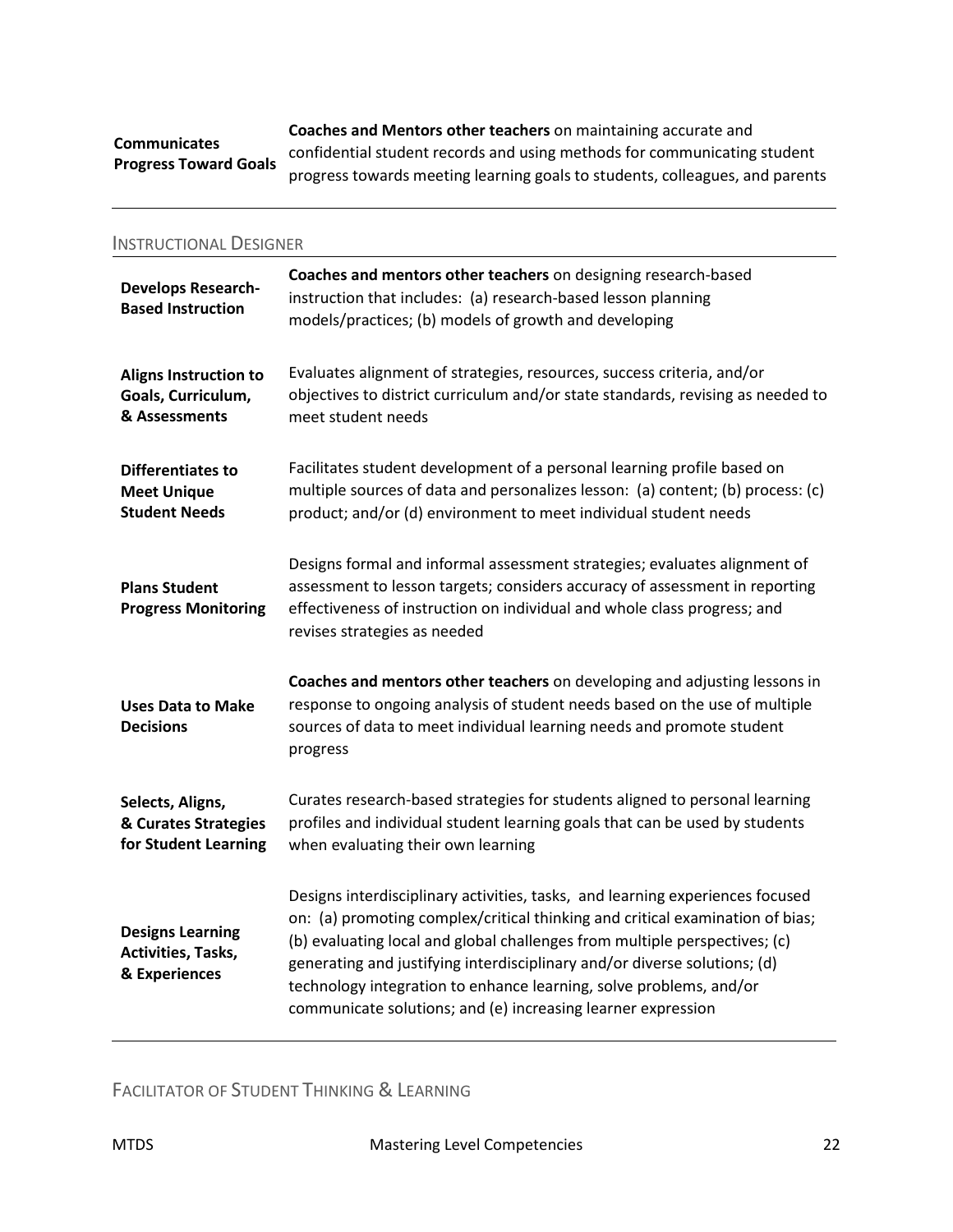#### **Communicates Progress Toward Goals**

**Coaches and Mentors other teachers** on maintaining accurate and confidential student records and using methods for communicating student progress towards meeting learning goals to students, colleagues, and parents

| <b>INSTRUCTIONAL DESIGNER</b>                                       |                                                                                                                                                                                                                                                                                                                                                                                                                                                                 |
|---------------------------------------------------------------------|-----------------------------------------------------------------------------------------------------------------------------------------------------------------------------------------------------------------------------------------------------------------------------------------------------------------------------------------------------------------------------------------------------------------------------------------------------------------|
| <b>Develops Research-</b><br><b>Based Instruction</b>               | Coaches and mentors other teachers on designing research-based<br>instruction that includes: (a) research-based lesson planning<br>models/practices; (b) models of growth and developing                                                                                                                                                                                                                                                                        |
| <b>Aligns Instruction to</b><br>Goals, Curriculum,<br>& Assessments | Evaluates alignment of strategies, resources, success criteria, and/or<br>objectives to district curriculum and/or state standards, revising as needed to<br>meet student needs                                                                                                                                                                                                                                                                                 |
| Differentiates to<br><b>Meet Unique</b><br><b>Student Needs</b>     | Facilitates student development of a personal learning profile based on<br>multiple sources of data and personalizes lesson: (a) content; (b) process: (c)<br>product; and/or (d) environment to meet individual student needs                                                                                                                                                                                                                                  |
| <b>Plans Student</b><br><b>Progress Monitoring</b>                  | Designs formal and informal assessment strategies; evaluates alignment of<br>assessment to lesson targets; considers accuracy of assessment in reporting<br>effectiveness of instruction on individual and whole class progress; and<br>revises strategies as needed                                                                                                                                                                                            |
| <b>Uses Data to Make</b><br><b>Decisions</b>                        | Coaches and mentors other teachers on developing and adjusting lessons in<br>response to ongoing analysis of student needs based on the use of multiple<br>sources of data to meet individual learning needs and promote student<br>progress                                                                                                                                                                                                                    |
| Selects, Aligns,<br>& Curates Strategies<br>for Student Learning    | Curates research-based strategies for students aligned to personal learning<br>profiles and individual student learning goals that can be used by students<br>when evaluating their own learning                                                                                                                                                                                                                                                                |
| <b>Designs Learning</b><br>Activities, Tasks,<br>& Experiences      | Designs interdisciplinary activities, tasks, and learning experiences focused<br>on: (a) promoting complex/critical thinking and critical examination of bias;<br>(b) evaluating local and global challenges from multiple perspectives; (c)<br>generating and justifying interdisciplinary and/or diverse solutions; (d)<br>technology integration to enhance learning, solve problems, and/or<br>communicate solutions; and (e) increasing learner expression |

FACILITATOR OF STUDENT THINKING & LEARNING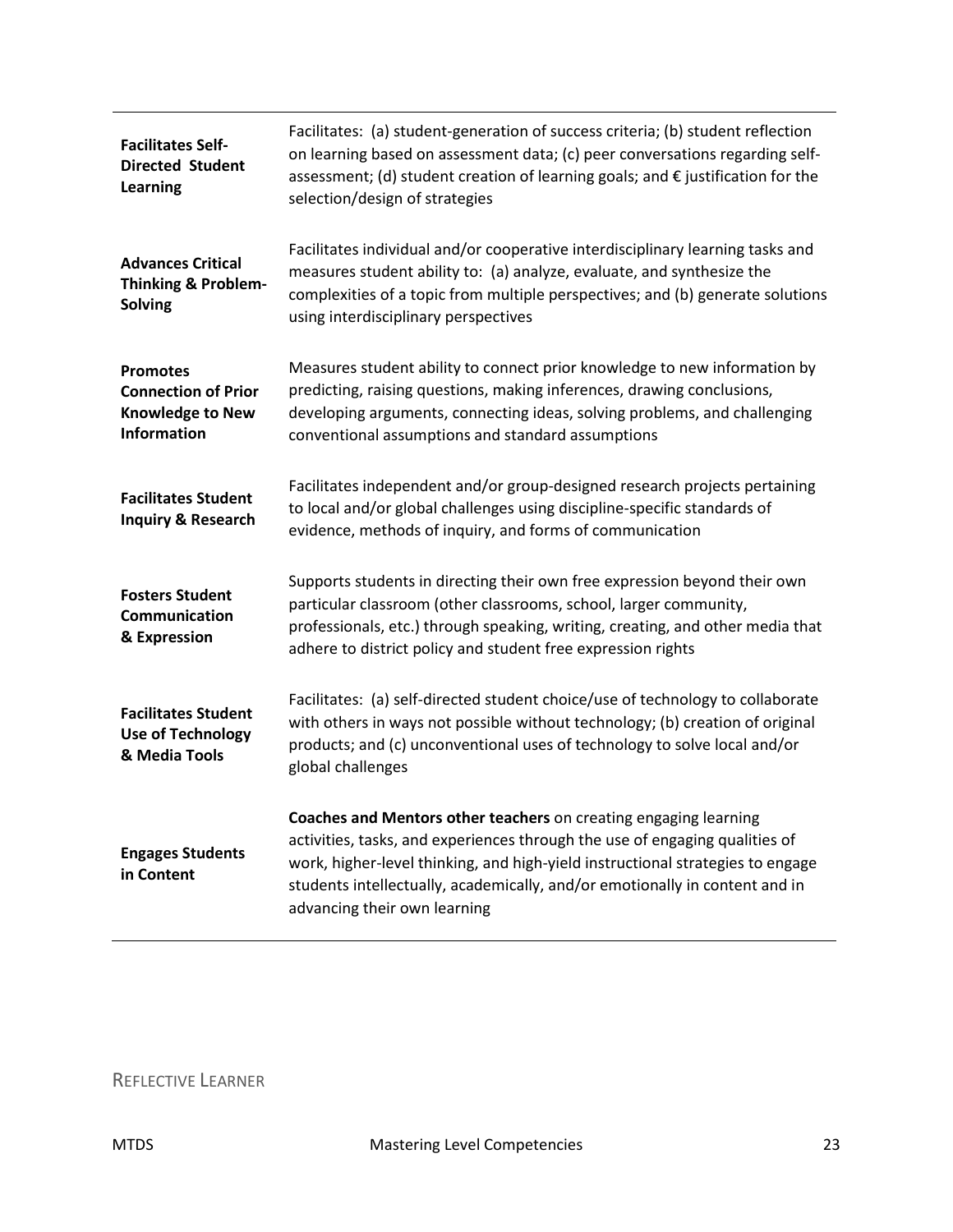| <b>Facilitates Self-</b><br><b>Directed Student</b><br><b>Learning</b>                         | Facilitates: (a) student-generation of success criteria; (b) student reflection<br>on learning based on assessment data; (c) peer conversations regarding self-<br>assessment; (d) student creation of learning goals; and $\epsilon$ justification for the<br>selection/design of strategies                                                    |
|------------------------------------------------------------------------------------------------|--------------------------------------------------------------------------------------------------------------------------------------------------------------------------------------------------------------------------------------------------------------------------------------------------------------------------------------------------|
| <b>Advances Critical</b><br><b>Thinking &amp; Problem-</b><br>Solving                          | Facilitates individual and/or cooperative interdisciplinary learning tasks and<br>measures student ability to: (a) analyze, evaluate, and synthesize the<br>complexities of a topic from multiple perspectives; and (b) generate solutions<br>using interdisciplinary perspectives                                                               |
| <b>Promotes</b><br><b>Connection of Prior</b><br><b>Knowledge to New</b><br><b>Information</b> | Measures student ability to connect prior knowledge to new information by<br>predicting, raising questions, making inferences, drawing conclusions,<br>developing arguments, connecting ideas, solving problems, and challenging<br>conventional assumptions and standard assumptions                                                            |
| <b>Facilitates Student</b><br><b>Inquiry &amp; Research</b>                                    | Facilitates independent and/or group-designed research projects pertaining<br>to local and/or global challenges using discipline-specific standards of<br>evidence, methods of inquiry, and forms of communication                                                                                                                               |
| <b>Fosters Student</b><br><b>Communication</b><br>& Expression                                 | Supports students in directing their own free expression beyond their own<br>particular classroom (other classrooms, school, larger community,<br>professionals, etc.) through speaking, writing, creating, and other media that<br>adhere to district policy and student free expression rights                                                 |
| <b>Facilitates Student</b><br><b>Use of Technology</b><br>& Media Tools                        | Facilitates: (a) self-directed student choice/use of technology to collaborate<br>with others in ways not possible without technology; (b) creation of original<br>products; and (c) unconventional uses of technology to solve local and/or<br>global challenges                                                                                |
| <b>Engages Students</b><br>in Content                                                          | Coaches and Mentors other teachers on creating engaging learning<br>activities, tasks, and experiences through the use of engaging qualities of<br>work, higher-level thinking, and high-yield instructional strategies to engage<br>students intellectually, academically, and/or emotionally in content and in<br>advancing their own learning |

### REFLECTIVE LEARNER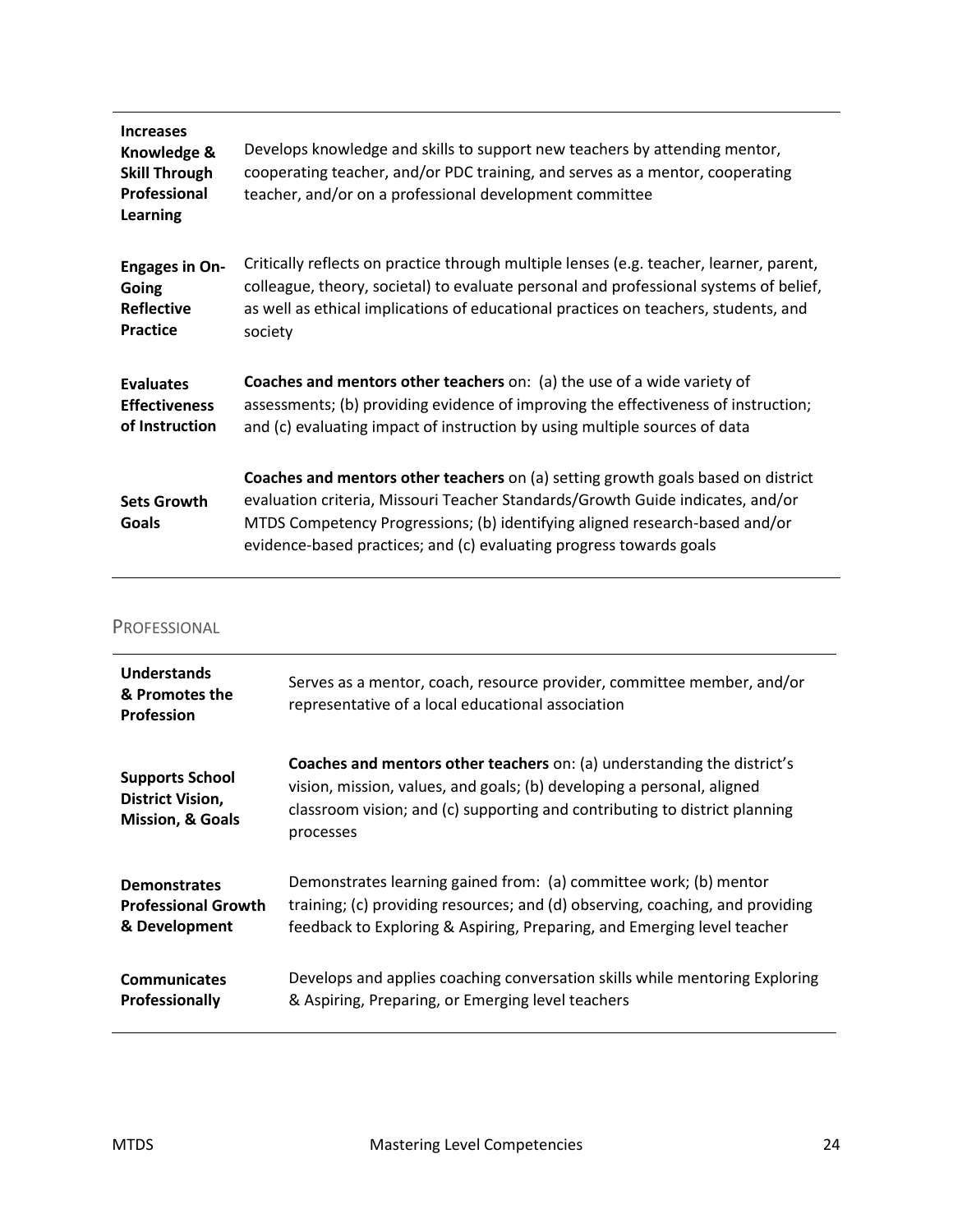| <b>Increases</b><br>Knowledge &<br><b>Skill Through</b><br>Professional<br>Learning | Develops knowledge and skills to support new teachers by attending mentor,<br>cooperating teacher, and/or PDC training, and serves as a mentor, cooperating<br>teacher, and/or on a professional development committee                                                                                                   |
|-------------------------------------------------------------------------------------|--------------------------------------------------------------------------------------------------------------------------------------------------------------------------------------------------------------------------------------------------------------------------------------------------------------------------|
| <b>Engages in On-</b>                                                               | Critically reflects on practice through multiple lenses (e.g. teacher, learner, parent,                                                                                                                                                                                                                                  |
| Going                                                                               | colleague, theory, societal) to evaluate personal and professional systems of belief,                                                                                                                                                                                                                                    |
| <b>Reflective</b>                                                                   | as well as ethical implications of educational practices on teachers, students, and                                                                                                                                                                                                                                      |
| <b>Practice</b>                                                                     | society                                                                                                                                                                                                                                                                                                                  |
| <b>Evaluates</b>                                                                    | Coaches and mentors other teachers on: (a) the use of a wide variety of                                                                                                                                                                                                                                                  |
| <b>Effectiveness</b>                                                                | assessments; (b) providing evidence of improving the effectiveness of instruction;                                                                                                                                                                                                                                       |
| of Instruction                                                                      | and (c) evaluating impact of instruction by using multiple sources of data                                                                                                                                                                                                                                               |
| <b>Sets Growth</b><br>Goals                                                         | Coaches and mentors other teachers on (a) setting growth goals based on district<br>evaluation criteria, Missouri Teacher Standards/Growth Guide indicates, and/or<br>MTDS Competency Progressions; (b) identifying aligned research-based and/or<br>evidence-based practices; and (c) evaluating progress towards goals |

#### PROFESSIONAL

| <b>Understands</b><br>& Promotes the<br><b>Profession</b>                        | Serves as a mentor, coach, resource provider, committee member, and/or<br>representative of a local educational association                                                                                                                         |
|----------------------------------------------------------------------------------|-----------------------------------------------------------------------------------------------------------------------------------------------------------------------------------------------------------------------------------------------------|
| <b>Supports School</b><br><b>District Vision,</b><br><b>Mission, &amp; Goals</b> | <b>Coaches and mentors other teachers on: (a) understanding the district's</b><br>vision, mission, values, and goals; (b) developing a personal, aligned<br>classroom vision; and (c) supporting and contributing to district planning<br>processes |
| <b>Demonstrates</b><br><b>Professional Growth</b><br>& Development               | Demonstrates learning gained from: (a) committee work; (b) mentor<br>training; (c) providing resources; and (d) observing, coaching, and providing<br>feedback to Exploring & Aspiring, Preparing, and Emerging level teacher                       |
| <b>Communicates</b><br><b>Professionally</b>                                     | Develops and applies coaching conversation skills while mentoring Exploring<br>& Aspiring, Preparing, or Emerging level teachers                                                                                                                    |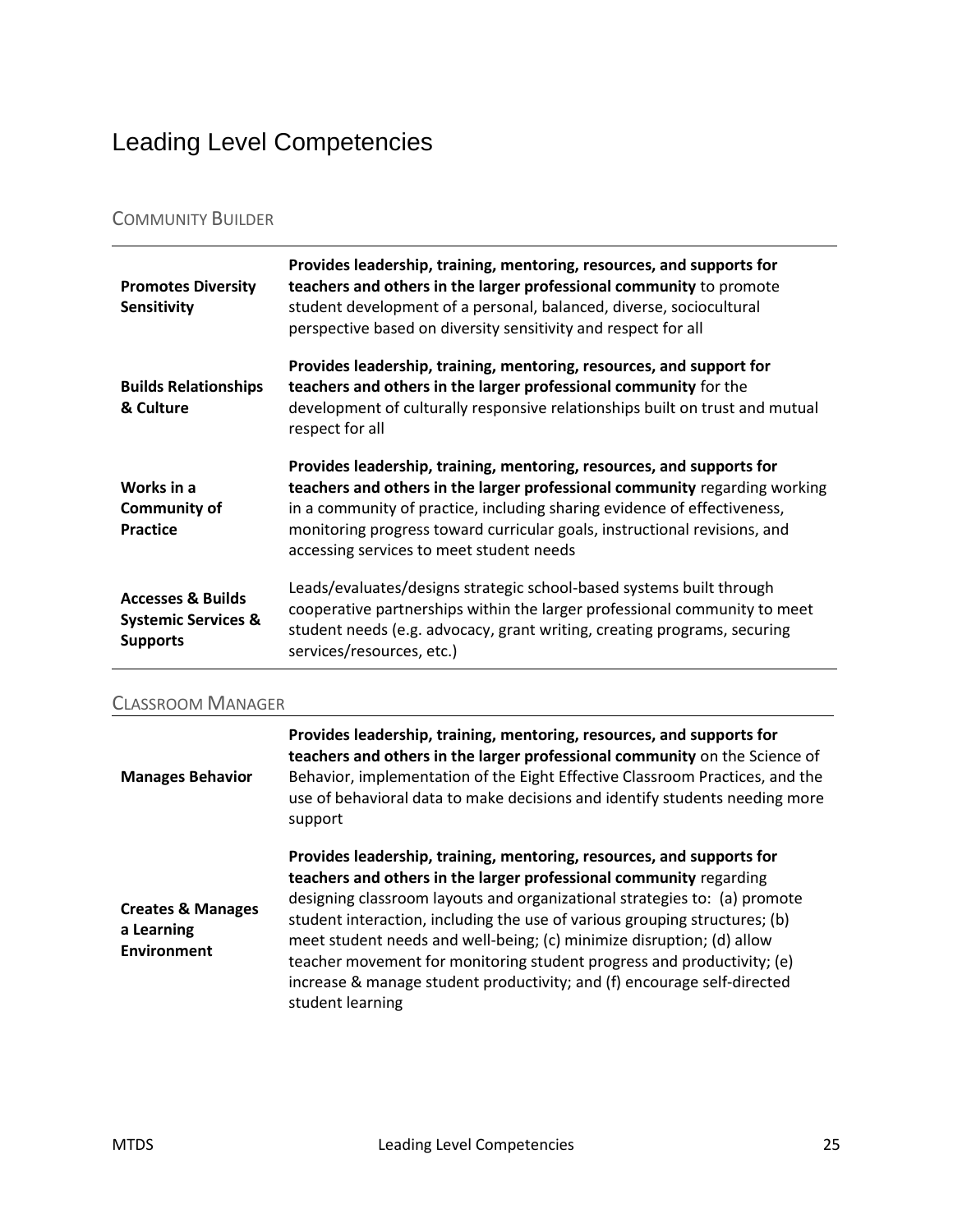## <span id="page-24-0"></span>Leading Level Competencies

### COMMUNITY BUILDER

| <b>Promotes Diversity</b><br><b>Sensitivity</b>      | Provides leadership, training, mentoring, resources, and supports for<br>teachers and others in the larger professional community to promote<br>student development of a personal, balanced, diverse, sociocultural<br>perspective based on diversity sensitivity and respect for all                                                                    |
|------------------------------------------------------|----------------------------------------------------------------------------------------------------------------------------------------------------------------------------------------------------------------------------------------------------------------------------------------------------------------------------------------------------------|
| <b>Builds Relationships</b><br>& Culture             | Provides leadership, training, mentoring, resources, and support for<br>teachers and others in the larger professional community for the<br>development of culturally responsive relationships built on trust and mutual<br>respect for all                                                                                                              |
| Works in a<br><b>Community of</b><br><b>Practice</b> | Provides leadership, training, mentoring, resources, and supports for<br>teachers and others in the larger professional community regarding working<br>in a community of practice, including sharing evidence of effectiveness,<br>monitoring progress toward curricular goals, instructional revisions, and<br>accessing services to meet student needs |
| <b>Accesses &amp; Builds</b>                         | Leads/evaluates/designs strategic school-based systems built through                                                                                                                                                                                                                                                                                     |

#### CLASSROOM MANAGER

| <b>Manages Behavior</b>                                          | Provides leadership, training, mentoring, resources, and supports for<br>teachers and others in the larger professional community on the Science of<br>Behavior, implementation of the Eight Effective Classroom Practices, and the<br>use of behavioral data to make decisions and identify students needing more<br>support                                                                                                                                                                                                                            |
|------------------------------------------------------------------|----------------------------------------------------------------------------------------------------------------------------------------------------------------------------------------------------------------------------------------------------------------------------------------------------------------------------------------------------------------------------------------------------------------------------------------------------------------------------------------------------------------------------------------------------------|
| <b>Creates &amp; Manages</b><br>a Learning<br><b>Environment</b> | Provides leadership, training, mentoring, resources, and supports for<br>teachers and others in the larger professional community regarding<br>designing classroom layouts and organizational strategies to: (a) promote<br>student interaction, including the use of various grouping structures; (b)<br>meet student needs and well-being; (c) minimize disruption; (d) allow<br>teacher movement for monitoring student progress and productivity; (e)<br>increase & manage student productivity; and (f) encourage self-directed<br>student learning |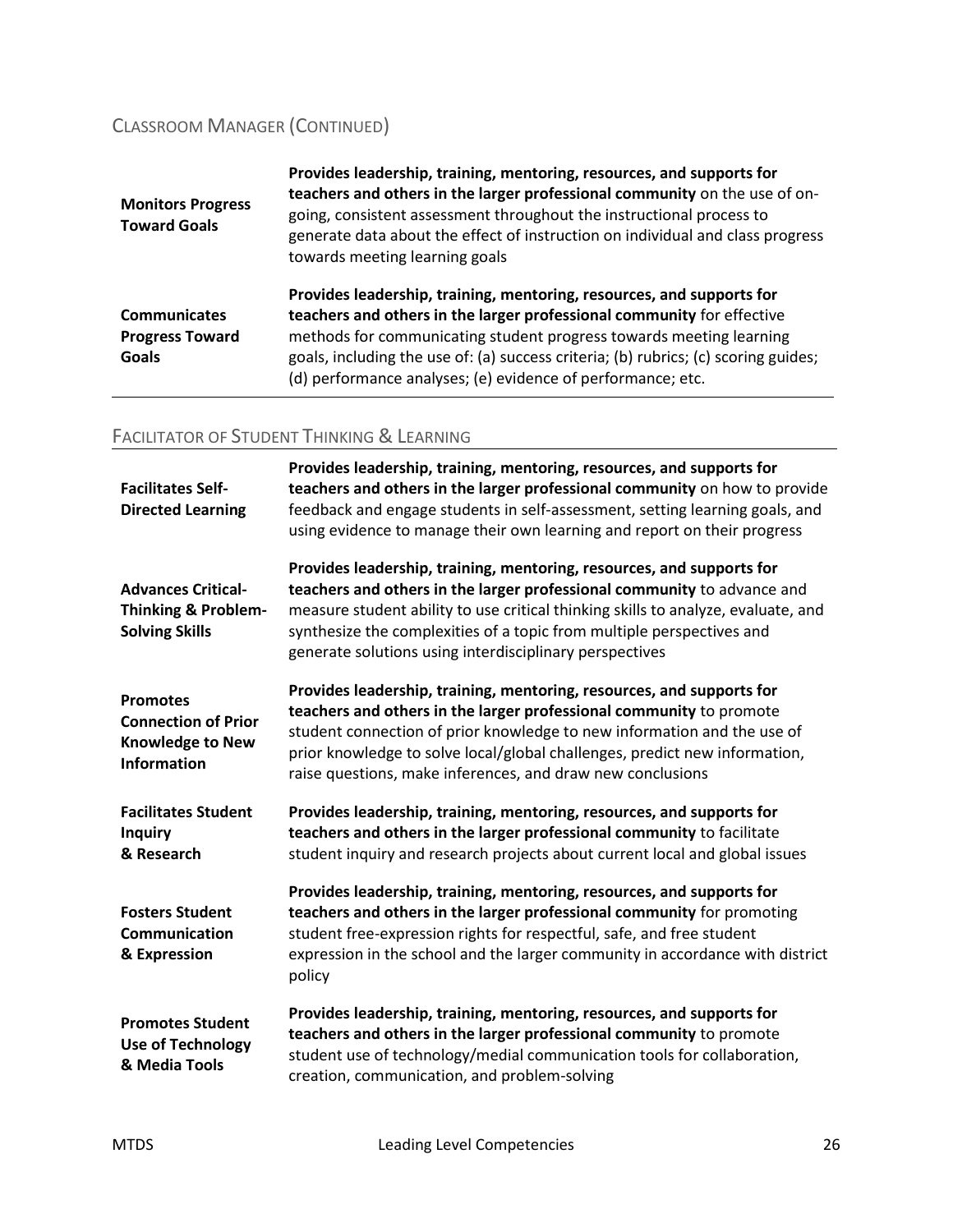### CLASSROOM MANAGER (CONTINUED)

| <b>Monitors Progress</b><br><b>Toward Goals</b>               | Provides leadership, training, mentoring, resources, and supports for<br>teachers and others in the larger professional community on the use of on-<br>going, consistent assessment throughout the instructional process to<br>generate data about the effect of instruction on individual and class progress<br>towards meeting learning goals                              |
|---------------------------------------------------------------|------------------------------------------------------------------------------------------------------------------------------------------------------------------------------------------------------------------------------------------------------------------------------------------------------------------------------------------------------------------------------|
| <b>Communicates</b><br><b>Progress Toward</b><br><b>Goals</b> | Provides leadership, training, mentoring, resources, and supports for<br>teachers and others in the larger professional community for effective<br>methods for communicating student progress towards meeting learning<br>goals, including the use of: (a) success criteria; (b) rubrics; (c) scoring guides;<br>(d) performance analyses; (e) evidence of performance; etc. |

### FACILITATOR OF STUDENT THINKING & LEARNING

| <b>Facilitates Self-</b><br><b>Directed Learning</b>                                           | Provides leadership, training, mentoring, resources, and supports for<br>teachers and others in the larger professional community on how to provide<br>feedback and engage students in self-assessment, setting learning goals, and<br>using evidence to manage their own learning and report on their progress                                                           |
|------------------------------------------------------------------------------------------------|---------------------------------------------------------------------------------------------------------------------------------------------------------------------------------------------------------------------------------------------------------------------------------------------------------------------------------------------------------------------------|
| <b>Advances Critical-</b><br><b>Thinking &amp; Problem-</b><br><b>Solving Skills</b>           | Provides leadership, training, mentoring, resources, and supports for<br>teachers and others in the larger professional community to advance and<br>measure student ability to use critical thinking skills to analyze, evaluate, and<br>synthesize the complexities of a topic from multiple perspectives and<br>generate solutions using interdisciplinary perspectives |
| <b>Promotes</b><br><b>Connection of Prior</b><br><b>Knowledge to New</b><br><b>Information</b> | Provides leadership, training, mentoring, resources, and supports for<br>teachers and others in the larger professional community to promote<br>student connection of prior knowledge to new information and the use of<br>prior knowledge to solve local/global challenges, predict new information,<br>raise questions, make inferences, and draw new conclusions       |
| <b>Facilitates Student</b><br><b>Inquiry</b><br>& Research                                     | Provides leadership, training, mentoring, resources, and supports for<br>teachers and others in the larger professional community to facilitate<br>student inquiry and research projects about current local and global issues                                                                                                                                            |
| <b>Fosters Student</b><br>Communication<br>& Expression                                        | Provides leadership, training, mentoring, resources, and supports for<br>teachers and others in the larger professional community for promoting<br>student free-expression rights for respectful, safe, and free student<br>expression in the school and the larger community in accordance with district<br>policy                                                       |
| <b>Promotes Student</b><br><b>Use of Technology</b><br>& Media Tools                           | Provides leadership, training, mentoring, resources, and supports for<br>teachers and others in the larger professional community to promote<br>student use of technology/medial communication tools for collaboration,<br>creation, communication, and problem-solving                                                                                                   |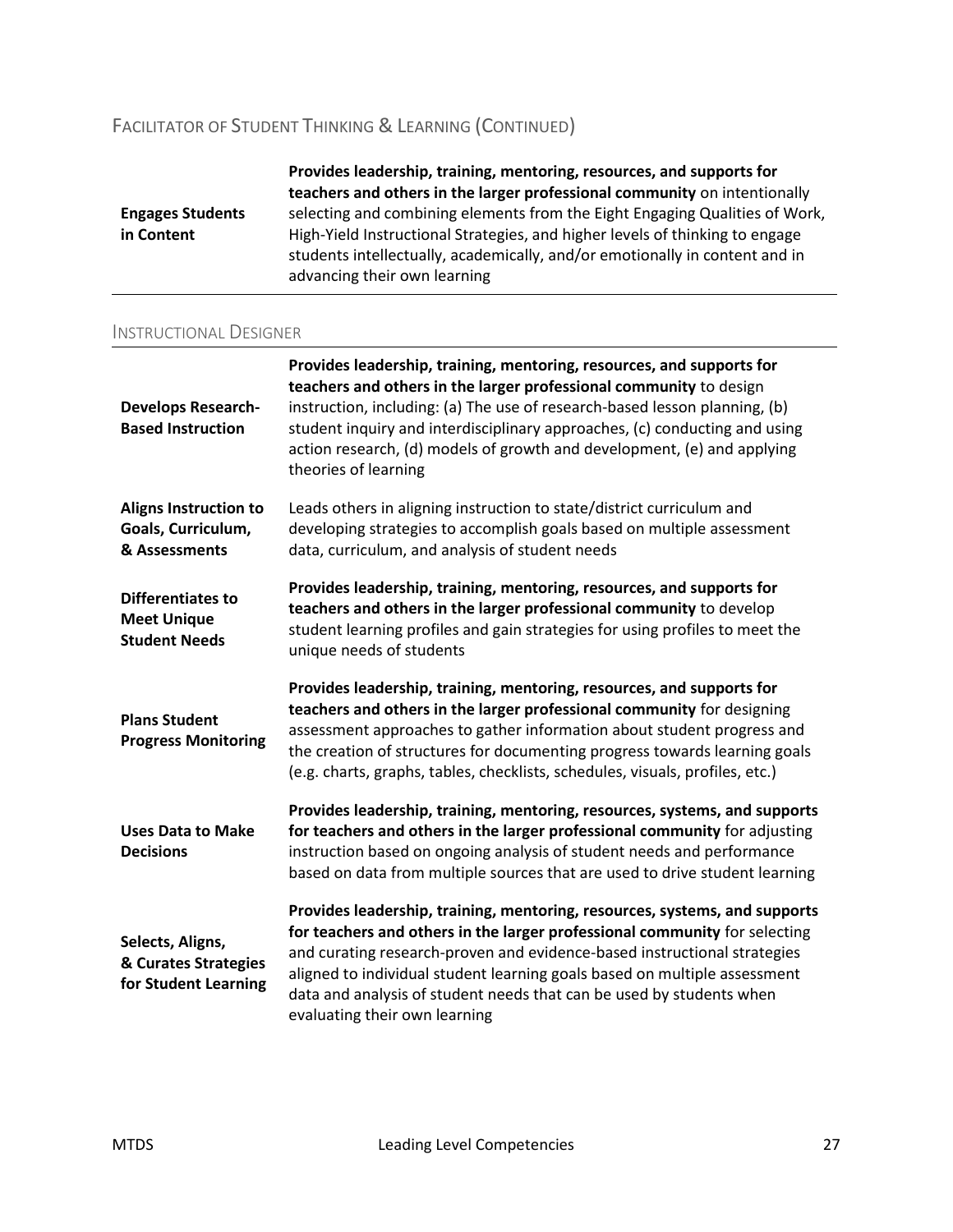### FACILITATOR OF STUDENT THINKING & LEARNING (CONTINUED)

|                         | Provides leadership, training, mentoring, resources, and supports for<br>teachers and others in the larger professional community on intentionally          |
|-------------------------|-------------------------------------------------------------------------------------------------------------------------------------------------------------|
| <b>Engages Students</b> | selecting and combining elements from the Eight Engaging Qualities of Work,                                                                                 |
| in Content              | High-Yield Instructional Strategies, and higher levels of thinking to engage<br>students intellectually, academically, and/or emotionally in content and in |
|                         | advancing their own learning                                                                                                                                |

#### INSTRUCTIONAL DESIGNER

| <b>Develops Research-</b><br><b>Based Instruction</b>            | Provides leadership, training, mentoring, resources, and supports for<br>teachers and others in the larger professional community to design<br>instruction, including: (a) The use of research-based lesson planning, (b)<br>student inquiry and interdisciplinary approaches, (c) conducting and using<br>action research, (d) models of growth and development, (e) and applying<br>theories of learning                 |
|------------------------------------------------------------------|----------------------------------------------------------------------------------------------------------------------------------------------------------------------------------------------------------------------------------------------------------------------------------------------------------------------------------------------------------------------------------------------------------------------------|
| Aligns Instruction to<br>Goals, Curriculum,<br>& Assessments     | Leads others in aligning instruction to state/district curriculum and<br>developing strategies to accomplish goals based on multiple assessment<br>data, curriculum, and analysis of student needs                                                                                                                                                                                                                         |
| Differentiates to<br><b>Meet Unique</b><br><b>Student Needs</b>  | Provides leadership, training, mentoring, resources, and supports for<br>teachers and others in the larger professional community to develop<br>student learning profiles and gain strategies for using profiles to meet the<br>unique needs of students                                                                                                                                                                   |
| <b>Plans Student</b><br><b>Progress Monitoring</b>               | Provides leadership, training, mentoring, resources, and supports for<br>teachers and others in the larger professional community for designing<br>assessment approaches to gather information about student progress and<br>the creation of structures for documenting progress towards learning goals<br>(e.g. charts, graphs, tables, checklists, schedules, visuals, profiles, etc.)                                   |
| <b>Uses Data to Make</b><br><b>Decisions</b>                     | Provides leadership, training, mentoring, resources, systems, and supports<br>for teachers and others in the larger professional community for adjusting<br>instruction based on ongoing analysis of student needs and performance<br>based on data from multiple sources that are used to drive student learning                                                                                                          |
| Selects, Aligns,<br>& Curates Strategies<br>for Student Learning | Provides leadership, training, mentoring, resources, systems, and supports<br>for teachers and others in the larger professional community for selecting<br>and curating research-proven and evidence-based instructional strategies<br>aligned to individual student learning goals based on multiple assessment<br>data and analysis of student needs that can be used by students when<br>evaluating their own learning |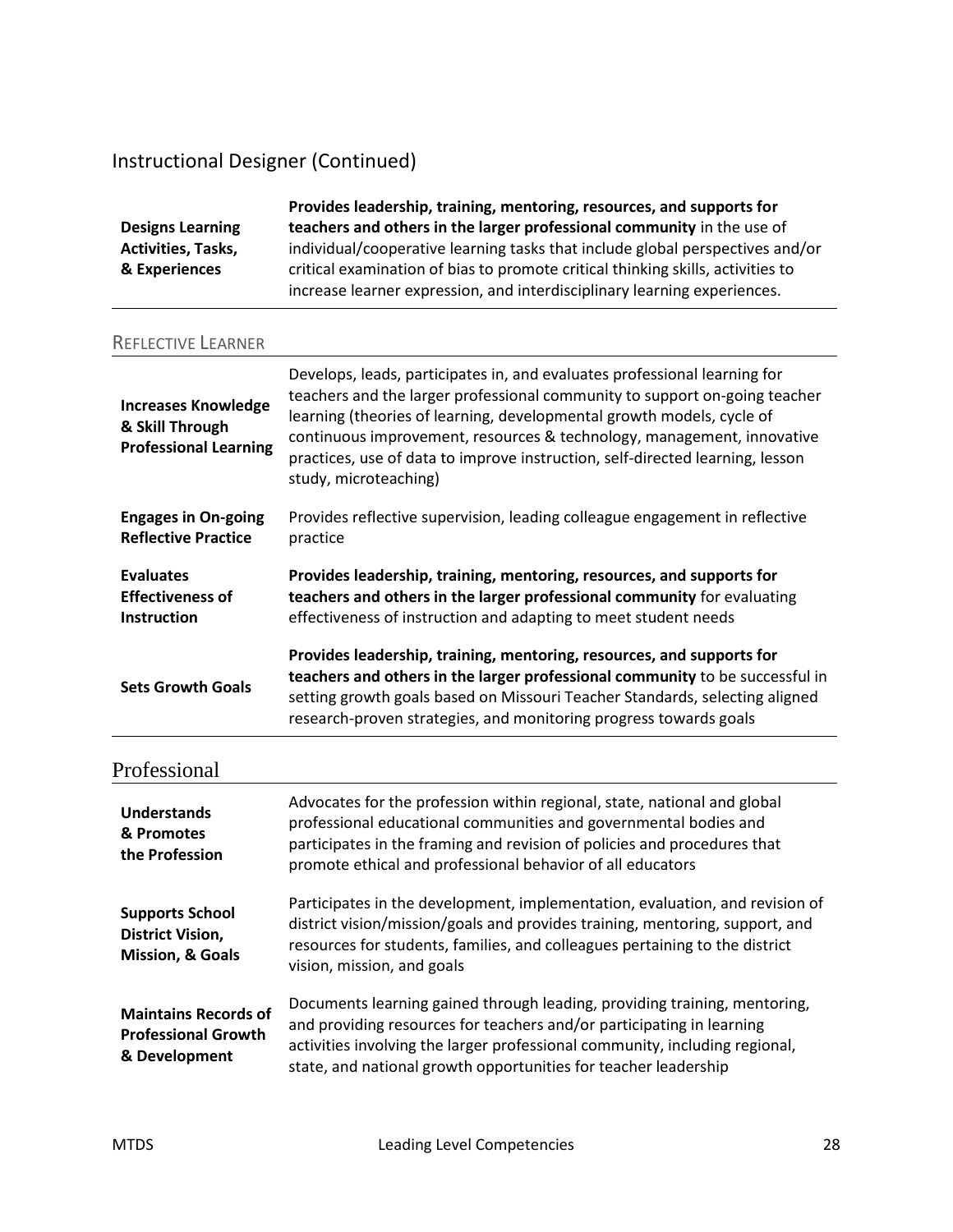### Instructional Designer (Continued)

|                           | Provides leadership, training, mentoring, resources, and supports for           |
|---------------------------|---------------------------------------------------------------------------------|
| <b>Designs Learning</b>   | teachers and others in the larger professional community in the use of          |
| <b>Activities, Tasks,</b> | individual/cooperative learning tasks that include global perspectives and/or   |
| & Experiences             | critical examination of bias to promote critical thinking skills, activities to |
|                           | increase learner expression, and interdisciplinary learning experiences.        |

#### REFLECTIVE LEARNER

| <b>Increases Knowledge</b><br>& Skill Through<br><b>Professional Learning</b> | Develops, leads, participates in, and evaluates professional learning for<br>teachers and the larger professional community to support on-going teacher<br>learning (theories of learning, developmental growth models, cycle of<br>continuous improvement, resources & technology, management, innovative<br>practices, use of data to improve instruction, self-directed learning, lesson<br>study, microteaching) |
|-------------------------------------------------------------------------------|----------------------------------------------------------------------------------------------------------------------------------------------------------------------------------------------------------------------------------------------------------------------------------------------------------------------------------------------------------------------------------------------------------------------|
| <b>Engages in On-going</b>                                                    | Provides reflective supervision, leading colleague engagement in reflective                                                                                                                                                                                                                                                                                                                                          |
| <b>Reflective Practice</b>                                                    | practice                                                                                                                                                                                                                                                                                                                                                                                                             |
| <b>Evaluates</b>                                                              | Provides leadership, training, mentoring, resources, and supports for                                                                                                                                                                                                                                                                                                                                                |
| <b>Effectiveness of</b>                                                       | teachers and others in the larger professional community for evaluating                                                                                                                                                                                                                                                                                                                                              |
| <b>Instruction</b>                                                            | effectiveness of instruction and adapting to meet student needs                                                                                                                                                                                                                                                                                                                                                      |
| <b>Sets Growth Goals</b>                                                      | Provides leadership, training, mentoring, resources, and supports for<br>teachers and others in the larger professional community to be successful in<br>setting growth goals based on Missouri Teacher Standards, selecting aligned<br>research-proven strategies, and monitoring progress towards goals                                                                                                            |

| Professional                                                                     |                                                                                                                                                                                                                                                                                                      |
|----------------------------------------------------------------------------------|------------------------------------------------------------------------------------------------------------------------------------------------------------------------------------------------------------------------------------------------------------------------------------------------------|
| <b>Understands</b><br>& Promotes<br>the Profession                               | Advocates for the profession within regional, state, national and global<br>professional educational communities and governmental bodies and<br>participates in the framing and revision of policies and procedures that<br>promote ethical and professional behavior of all educators               |
| <b>Supports School</b><br><b>District Vision,</b><br><b>Mission, &amp; Goals</b> | Participates in the development, implementation, evaluation, and revision of<br>district vision/mission/goals and provides training, mentoring, support, and<br>resources for students, families, and colleagues pertaining to the district<br>vision, mission, and goals                            |
| <b>Maintains Records of</b><br><b>Professional Growth</b><br>& Development       | Documents learning gained through leading, providing training, mentoring,<br>and providing resources for teachers and/or participating in learning<br>activities involving the larger professional community, including regional,<br>state, and national growth opportunities for teacher leadership |